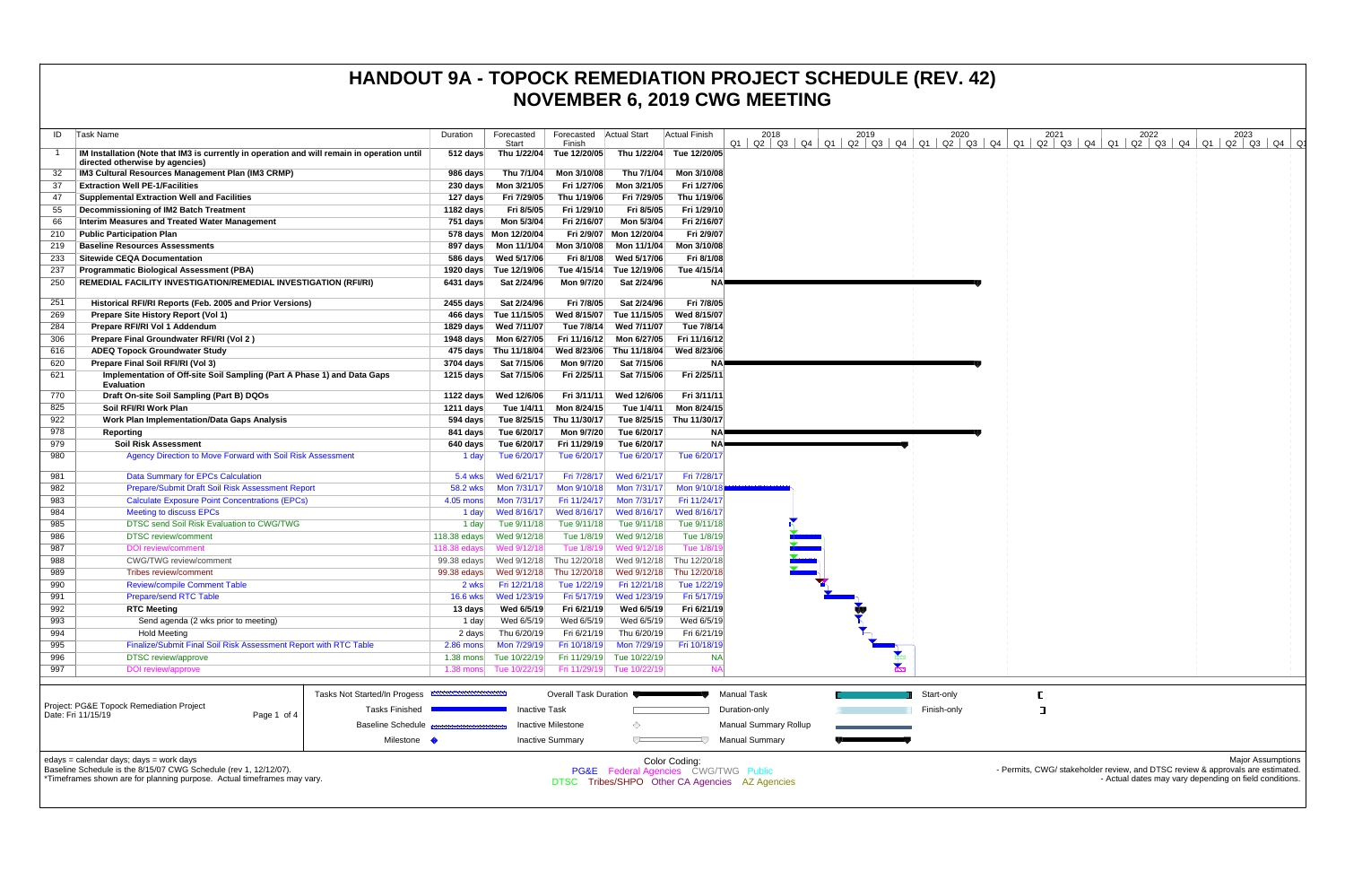| ID         | Task Name                                                                                                                                   | Duration                   | Forecasted<br>Start         | Forecasted   Actual Start<br>Finish |                             | <b>Actual Finish</b>                           | 2018<br>$Q1$   $Q2$   $Q3$   $Q4$   $Q1$   $Q2$   $Q3$   $Q4$   $Q1$   $Q2$   $Q3$   $Q4$   $Q1$ | 2019 | 2020        | 2021<br>Q2   Q3   Q4   Q1 | 2022<br>Q2   Q3   Q4   Q1 | 2023<br>$\vert$ Q2 $\vert$ Q3 $\vert$ Q4 $\vert$                                                                                         |
|------------|---------------------------------------------------------------------------------------------------------------------------------------------|----------------------------|-----------------------------|-------------------------------------|-----------------------------|------------------------------------------------|--------------------------------------------------------------------------------------------------|------|-------------|---------------------------|---------------------------|------------------------------------------------------------------------------------------------------------------------------------------|
|            | IM Installation (Note that IM3 is currently in operation and will remain in operation until<br>directed otherwise by agencies)              | 512 days                   | Thu 1/22/04                 | Tue 12/20/05                        |                             | Thu 1/22/04 Tue 12/20/05                       |                                                                                                  |      |             |                           |                           |                                                                                                                                          |
| 32         | IM3 Cultural Resources Management Plan (IM3 CRMP)                                                                                           | 986 days                   | Thu 7/1/04                  | Mon 3/10/08                         | Thu 7/1/04                  | Mon 3/10/08                                    |                                                                                                  |      |             |                           |                           |                                                                                                                                          |
| 37         | <b>Extraction Well PE-1/Facilities</b>                                                                                                      | $230 \text{ days}$         | Mon 3/21/05                 | Fri 1/27/06                         | Mon 3/21/05                 | Fri 1/27/06                                    |                                                                                                  |      |             |                           |                           |                                                                                                                                          |
| 47         | <b>Supplemental Extraction Well and Facilities</b>                                                                                          | 127 days                   | Fri 7/29/05                 | Thu 1/19/06                         | Fri 7/29/05                 | Thu 1/19/06                                    |                                                                                                  |      |             |                           |                           |                                                                                                                                          |
| 55         | Decommissioning of IM2 Batch Treatment                                                                                                      | 1182 days                  | Fri 8/5/05                  | Fri 1/29/10                         | Fri 8/5/05                  | Fri 1/29/10                                    |                                                                                                  |      |             |                           |                           |                                                                                                                                          |
| 66         | Interim Measures and Treated Water Management                                                                                               | 751 days                   | Mon 5/3/04                  | Fri 2/16/07                         | Mon 5/3/04                  | Fri 2/16/07                                    |                                                                                                  |      |             |                           |                           |                                                                                                                                          |
| 210        | <b>Public Participation Plan</b>                                                                                                            |                            | 578 days Mon 12/20/04       |                                     | Fri 2/9/07 Mon 12/20/04     | Fri 2/9/07                                     |                                                                                                  |      |             |                           |                           |                                                                                                                                          |
| 219        | <b>Baseline Resources Assessments</b>                                                                                                       | 897 days                   | Mon 11/1/04                 | Mon 3/10/08                         | Mon 11/1/04                 | Mon 3/10/08                                    |                                                                                                  |      |             |                           |                           |                                                                                                                                          |
| 233        | <b>Sitewide CEQA Documentation</b>                                                                                                          | 586 days                   | Wed 5/17/06                 | Fri 8/1/08                          | Wed 5/17/06                 | Fri 8/1/08                                     |                                                                                                  |      |             |                           |                           |                                                                                                                                          |
| 237        | <b>Programmatic Biological Assessment (PBA)</b>                                                                                             |                            | 1920 days Tue 12/19/06      | Tue 4/15/14                         | Tue 12/19/06                | Tue 4/15/14                                    |                                                                                                  |      |             |                           |                           |                                                                                                                                          |
| 250        | REMEDIAL FACILITY INVESTIGATION/REMEDIAL INVESTIGATION (RFI/RI)                                                                             | 6431 days                  | Sat 2/24/96                 | Mon 9/7/20                          | Sat 2/24/96                 | NA⊫                                            |                                                                                                  |      |             |                           |                           |                                                                                                                                          |
| 251        | Historical RFI/RI Reports (Feb. 2005 and Prior Versions)                                                                                    | 2455 days                  | Sat 2/24/96                 | Fri 7/8/05                          | Sat 2/24/96                 | Fri 7/8/05                                     |                                                                                                  |      |             |                           |                           |                                                                                                                                          |
| 269        | Prepare Site History Report (Vol 1)                                                                                                         |                            | 466 days Tue 11/15/05       | Wed 8/15/07                         | Tue 11/15/05                | Wed 8/15/07                                    |                                                                                                  |      |             |                           |                           |                                                                                                                                          |
| 284        | Prepare RFI/RI Vol 1 Addendum                                                                                                               | 1829 days                  | Wed 7/11/07                 | Tue 7/8/14                          | Wed 7/11/07                 | Tue 7/8/14                                     |                                                                                                  |      |             |                           |                           |                                                                                                                                          |
| 306        | Prepare Final Groundwater RFI/RI (Vol 2)                                                                                                    |                            | 1948 days    Mon 6/27/05    | Fri 11/16/12                        | Mon 6/27/05                 | Fri 11/16/12                                   |                                                                                                  |      |             |                           |                           |                                                                                                                                          |
| 616        | <b>ADEQ Topock Groundwater Study</b>                                                                                                        |                            | 475 days Thu 11/18/04       | Wed 8/23/06                         | Thu 11/18/04                | Wed 8/23/06                                    |                                                                                                  |      |             |                           |                           |                                                                                                                                          |
| 620        | Prepare Final Soil RFI/RI (Vol 3)                                                                                                           | 3704 days                  | Sat 7/15/06                 | Mon 9/7/20                          | Sat 7/15/06                 | NA⊧                                            |                                                                                                  |      |             |                           |                           |                                                                                                                                          |
| 621        | Implementation of Off-site Soil Sampling (Part A Phase 1) and Data Gaps<br><b>Evaluation</b>                                                | 1215 days                  | Sat 7/15/06                 | Fri 2/25/11                         | Sat 7/15/06                 | Fri 2/25/11                                    |                                                                                                  |      |             |                           |                           |                                                                                                                                          |
| 770        | Draft On-site Soil Sampling (Part B) DQOs                                                                                                   | 1122 days                  | Wed 12/6/06                 | Fri 3/11/11                         | Wed 12/6/06                 | Fri 3/11/11                                    |                                                                                                  |      |             |                           |                           |                                                                                                                                          |
| 825        | Soil RFI/RI Work Plan                                                                                                                       | 1211 days                  | Tue 1/4/11                  | Mon 8/24/15                         | Tue 1/4/11                  | Mon 8/24/15                                    |                                                                                                  |      |             |                           |                           |                                                                                                                                          |
| 922        | <b>Work Plan Implementation/Data Gaps Analysis</b>                                                                                          | 594 days                   | Tue 8/25/15                 | Thu 11/30/17                        | Tue 8/25/15                 | Thu 11/30/17                                   |                                                                                                  |      |             |                           |                           |                                                                                                                                          |
| 978        | Reporting                                                                                                                                   | 841 days                   | Tue 6/20/17                 | Mon 9/7/20                          | Tue 6/20/17                 | NA!                                            |                                                                                                  |      |             |                           |                           |                                                                                                                                          |
| 979        | <b>Soil Risk Assessment</b>                                                                                                                 | 640 days                   | Tue 6/20/17                 | Fri 11/29/19                        | Tue 6/20/17                 | NA≣                                            |                                                                                                  |      |             |                           |                           |                                                                                                                                          |
| 980        | Agency Direction to Move Forward with Soil Risk Assessment                                                                                  | 1 day                      | Tue 6/20/17                 | Tue 6/20/17                         | Tue 6/20/17                 | Tue 6/20/17                                    |                                                                                                  |      |             |                           |                           |                                                                                                                                          |
| 981        | <b>Data Summary for EPCs Calculation</b>                                                                                                    | 5.4 wks                    | Wed 6/21/17                 | Fri 7/28/17                         | Wed 6/21/17                 | Fri 7/28/17                                    |                                                                                                  |      |             |                           |                           |                                                                                                                                          |
| 982        | Prepare/Submit Draft Soil Risk Assessment Report                                                                                            | <b>58.2 wks</b>            | Mon 7/31/17                 | Mon 9/10/18                         | Mon 7/31/17                 | Mon 9/10/1                                     |                                                                                                  |      |             |                           |                           |                                                                                                                                          |
| 983        | <b>Calculate Exposure Point Concentrations (EPCs)</b>                                                                                       | 4.05 mons                  | Mon 7/31/17                 | Fri 11/24/17                        | Mon 7/31/17                 | Fri 11/24/17                                   |                                                                                                  |      |             |                           |                           |                                                                                                                                          |
| 984        | <b>Meeting to discuss EPCs</b>                                                                                                              | 1 day                      | Wed 8/16/17                 | Wed 8/16/17                         | Wed 8/16/17                 | Wed 8/16/17                                    |                                                                                                  |      |             |                           |                           |                                                                                                                                          |
| 985        | DTSC send Soil Risk Evaluation to CWG/TWG                                                                                                   | 1 day                      | Tue 9/11/18                 | Tue 9/11/18                         | Tue 9/11/18                 | Tue 9/11/18                                    |                                                                                                  |      |             |                           |                           |                                                                                                                                          |
| 986        | <b>DTSC</b> review/comment                                                                                                                  | $118.38$ edays             | Wed 9/12/18                 | Tue 1/8/19                          | Wed 9/12/18                 | Tue 1/8/19                                     |                                                                                                  |      |             |                           |                           |                                                                                                                                          |
| 987        | <b>DOI</b> review/comment                                                                                                                   | 118.38 edays               | Wed 9/12/18                 | Tue 1/8/19                          | Wed 9/12/18                 | Tue 1/8/1                                      |                                                                                                  |      |             |                           |                           |                                                                                                                                          |
| 988        | <b>CWG/TWG</b> review/comment                                                                                                               | 99.38 edays                | Wed 9/12/18                 | Thu 12/20/18                        | Wed 9/12/18                 | Thu 12/20/18                                   |                                                                                                  |      |             |                           |                           |                                                                                                                                          |
| 989        | Tribes review/comment                                                                                                                       | 99.38 edays                | Wed 9/12/18                 | Thu 12/20/18                        | Wed 9/12/18                 | Thu 12/20/18                                   |                                                                                                  |      |             |                           |                           |                                                                                                                                          |
| 990<br>991 | <b>Review/compile Comment Table</b><br><b>Prepare/send RTC Table</b>                                                                        | 2 wks<br><b>16.6 wks</b>   | Fri 12/21/18<br>Wed 1/23/19 | Tue 1/22/19<br>Fri 5/17/19          | Fri 12/21/18<br>Wed 1/23/19 | Tue 1/22/19<br>Fri 5/17/19                     |                                                                                                  |      |             |                           |                           |                                                                                                                                          |
| 992        | <b>RTC Meeting</b>                                                                                                                          | 13 days                    | Wed 6/5/19                  | Fri 6/21/19                         | Wed 6/5/19                  | Fri 6/21/19                                    |                                                                                                  |      |             |                           |                           |                                                                                                                                          |
| 993        | Send agenda (2 wks prior to meeting)                                                                                                        | 1 day                      | Wed 6/5/19                  | Wed 6/5/19                          | Wed 6/5/19                  | Wed 6/5/19                                     |                                                                                                  |      |             |                           |                           |                                                                                                                                          |
| 994        | <b>Hold Meeting</b>                                                                                                                         | 2 days                     | Thu 6/20/19                 | Fri 6/21/19                         | Thu 6/20/19                 | Fri 6/21/19                                    |                                                                                                  |      |             |                           |                           |                                                                                                                                          |
| 995        | Finalize/Submit Final Soil Risk Assessment Report with RTC Table                                                                            | $2.86$ mons                | Mon 7/29/19                 | Fri 10/18/19                        | Mon 7/29/19                 | Fri 10/18/19                                   |                                                                                                  |      |             |                           |                           |                                                                                                                                          |
| 996        | <b>DTSC</b> review/approve                                                                                                                  | $1.38$ mons                | Tue 10/22/19                |                                     | Fri 11/29/19 Tue 10/22/19   | <b>NA</b>                                      |                                                                                                  |      |             |                           |                           |                                                                                                                                          |
| 997        | <b>DOI</b> review/approve                                                                                                                   |                            | 1.38 mons Tue 10/22/19      |                                     | Fri 11/29/19 Tue 10/22/19   |                                                |                                                                                                  |      |             |                           |                           |                                                                                                                                          |
|            |                                                                                                                                             |                            |                             |                                     |                             |                                                |                                                                                                  |      |             |                           |                           |                                                                                                                                          |
|            | <b>Tasks Not Started/In Progess</b>                                                                                                         | ,,,,,,,,,,,,,,,,,,,,,,,,,, |                             | <b>Overall Task Duration</b>        |                             |                                                | <b>Manual Task</b>                                                                               |      | Start-only  |                           |                           |                                                                                                                                          |
|            | Project: PG&E Topock Remediation Project<br><b>Tasks Finished</b>                                                                           |                            | <b>Inactive Task</b>        |                                     |                             |                                                | Duration-only                                                                                    |      | Finish-only | $\Box$                    |                           |                                                                                                                                          |
|            | Date: Fri 11/15/19<br>Page 1 of 4<br><b>Baseline Schedule</b>                                                                               |                            |                             | <b>Inactive Milestone</b>           | ◇                           |                                                | <b>Manual Summary Rollup</b>                                                                     |      |             |                           |                           |                                                                                                                                          |
|            | Milestone                                                                                                                                   | $\overline{\phantom{a}}$   |                             | <b>Inactive Summary</b>             | ᄃ                           |                                                | <b>Manual Summary</b>                                                                            |      |             |                           |                           |                                                                                                                                          |
|            |                                                                                                                                             |                            |                             |                                     |                             |                                                |                                                                                                  |      |             |                           |                           |                                                                                                                                          |
|            | edays = calendar days; days = work days                                                                                                     |                            |                             |                                     |                             | Color Coding:                                  |                                                                                                  |      |             |                           |                           | <b>Major Assumptions</b>                                                                                                                 |
|            | Baseline Schedule is the 8/15/07 CWG Schedule (rev 1, 12/12/07).<br>*Timeframes shown are for planning purpose. Actual timeframes may vary. |                            |                             |                                     |                             | PG&E Federal Agencies CWG/TWG Public           |                                                                                                  |      |             |                           |                           | - Permits, CWG/ stakeholder review, and DTSC review & approvals are estimated.<br>- Actual dates may vary depending on field conditions. |
|            |                                                                                                                                             |                            |                             |                                     |                             | DTSC Tribes/SHPO Other CA Agencies AZ Agencies |                                                                                                  |      |             |                           |                           |                                                                                                                                          |
|            |                                                                                                                                             |                            |                             |                                     |                             |                                                |                                                                                                  |      |             |                           |                           |                                                                                                                                          |

### **HANDOUT 9A - TOPOCK REMEDIATION PROJECT SCHEDULE (REV. 42) NOVEMBER 6, 2019 CWG MEETING**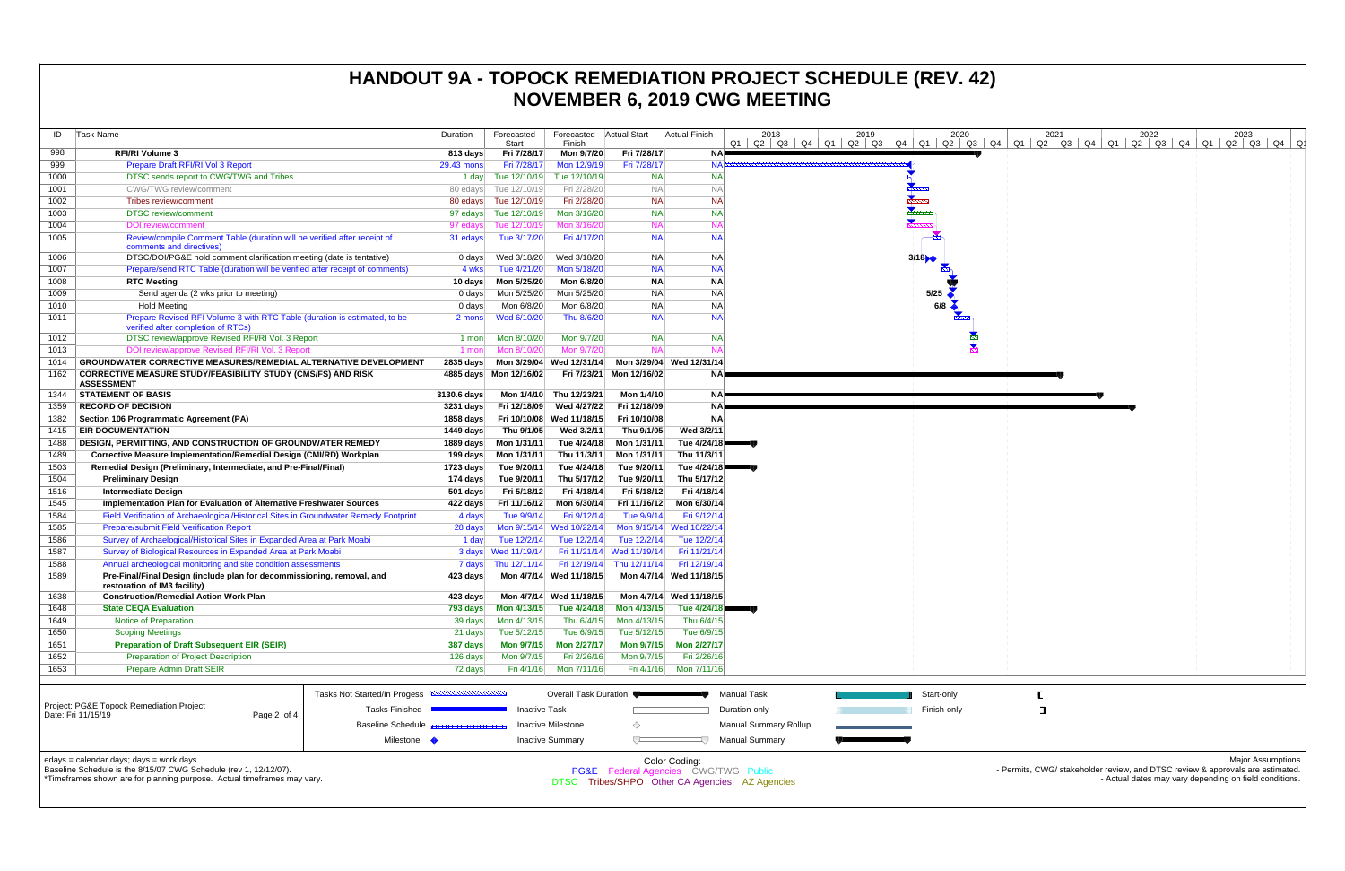| ID<br>Task Name<br>Forecasted<br>Forecasted   Actual Start<br>Actual Finish<br>2022<br>Duration<br>2018<br>2019<br>2020<br>2021<br>2023<br>01 02 03 04 01 02 03 04 01 02 03 04 01 02 03 04 01 02 03 04 01 02 03 04 01 02 03 04 0<br>Finish<br>Start<br>Fri 7/28/17<br>998<br><b>RFI/RI Volume 3</b><br>813 days<br>Mon 9/7/20<br>Fri 7/28/17<br>NA⊫<br>Prepare Draft RFI/RI Vol 3 Report<br>999<br>Fri 7/28/17<br>Mon 12/9/19<br>Fri 7/28/17<br>NA <sub>2</sub><br>29.43 mons<br>1000<br>Tue 12/10/19<br><b>NA</b><br>DTSC sends report to CWG/TWG and Tribes<br>Tue 12/10/19<br><b>NA</b><br>1 day<br>1001<br><b>CWG/TWG</b> review/comment<br>Fri 2/28/20<br><b>NA</b><br><b>NA</b><br>80 edays Tue 12/10/19<br><b>NA</b><br><b>NA</b><br>1002<br>Tribes review/comment<br>80 edays Tue 12/10/19<br>Fri 2/28/20<br>1003<br><b>DTSC</b> review/comment<br>Mon 3/16/20<br><b>NA</b><br><b>NA</b><br>97 edays Tue 12/10/19<br><b>NA</b><br><b>NA</b><br>1004<br><b>DOI</b> review/comment<br>Tue 12/10/19<br>Mon 3/16/20<br>97 edays<br>NA<br>1005<br>Review/compile Comment Table (duration will be verified after receipt of<br><b>NA</b><br>31 edays<br>Tue 3/17/20<br>Fri 4/17/20<br>comments and directives)<br>DTSC/DOI/PG&E hold comment clarification meeting (date is tentative)<br>1006<br>Wed 3/18/20<br>Wed 3/18/20<br><b>NA</b><br><b>NA</b><br>3/18<br>0 days<br>1007<br>Mon 5/18/20<br><b>NA</b><br><b>NA</b><br>Prepare/send RTC Table (duration will be verified after receipt of comments)<br>Tue 4/21/20<br>4 wks<br>1008<br><b>RTC Meeting</b><br>Mon 5/25/20<br>Mon 6/8/20<br><b>NA</b><br><b>NA</b><br>10 days<br><b>NA</b><br>5/25<br>1009<br>Send agenda (2 wks prior to meeting)<br>Mon 5/25/20<br>Mon 5/25/20<br><b>NA</b><br>0 days<br>1010<br>Mon 6/8/20<br><b>NA</b><br><b>Hold Meeting</b><br>Mon 6/8/20<br><b>NA</b><br>0 days<br>1011<br>Prepare Revised RFI Volume 3 with RTC Table (duration is estimated, to be<br>Wed 6/10/20<br><b>NA</b><br><b>NA</b><br>Thu 8/6/20<br>2 mons<br>verified after completion of RTCs)<br>Mon 8/10/20<br>Mon 9/7/20<br><b>NA</b><br>1012<br>DTSC review/approve Revised RFI/RI Vol. 3 Report<br><b>NA</b><br>1 mon<br><b>NA</b><br>Mon 8/10/20<br>Mon 9/7/20<br>1013<br>DOI review/approve Revised RFI/RI Vol. 3 Report<br>1 mon<br>GROUNDWATER CORRECTIVE MEASURES/REMEDIAL ALTERNATIVE DEVELOPMENT<br>Mon 3/29/04 Wed 12/31/14<br>Mon 3/29/04 Wed 12/31/14<br>1014<br>2835 days<br>1162<br><b>CORRECTIVE MEASURE STUDY/FEASIBILITY STUDY (CMS/FS) AND RISK</b><br>4885 days Mon 12/16/02<br>Fri 7/23/21 Mon 12/16/02<br>NA.<br><b>ASSESSMENT</b><br><b>STATEMENT OF BASIS</b><br>Thu 12/23/21<br>1344<br>3130.6 days<br>Mon 1/4/10<br>Mon 1/4/10<br>NAP<br><b>RECORD OF DECISION</b><br>Fri 12/18/09<br>Wed 4/27/22<br>Fri 12/18/09<br>1359<br>3231 days<br>NA.<br>1382<br><b>NA</b><br>Section 106 Programmatic Agreement (PA)<br>1858 days<br>Fri 10/10/08<br>Wed 11/18/15<br>Fri 10/10/08<br><b>EIR DOCUMENTATION</b><br>Wed 3/2/11<br>Thu 9/1/05<br>Wed 3/2/11<br>1415<br>1449 days<br>Thu 9/1/05<br><b>DESIGN, PERMITTING, AND CONSTRUCTION OF GROUNDWATER REMEDY</b><br>Tue 4/24/18<br>Tue 4/24/18<br>1488<br>1889 days<br>Mon 1/31/11<br>Mon 1/31/11<br>1489<br>Corrective Measure Implementation/Remedial Design (CMI/RD) Workplan<br>199 days<br>Mon 1/31/11<br>Thu 11/3/11<br>Mon 1/31/11<br>Thu 11/3/11<br>Remedial Design (Preliminary, Intermediate, and Pre-Final/Final)<br>Tue 4/24/18<br>Tue 9/20/11<br>Tue $4/24/18$<br>1503<br>1723 days<br>Tue 9/20/11<br><b>Preliminary Design</b><br>Tue 9/20/11<br>Thu 5/17/12<br>Tue 9/20/11<br>Thu 5/17/12<br>1504<br>174 days<br>1516<br>Fri 5/18/12<br>Fri 4/18/14<br>Fri 5/18/12<br>Fri 4/18/14<br><b>Intermediate Design</b><br>501 days<br>1545<br>Mon 6/30/14<br>Fri 11/16/12<br>Mon 6/30/14<br>Implementation Plan for Evaluation of Alternative Freshwater Sources<br>422 days<br>Fri 11/16/12<br>1584<br>Field Verification of Archaeological/Historical Sites in Groundwater Remedy Footprint<br>Fri 9/12/14<br>Tue 9/9/14<br>Fri 9/12/14<br>4 days<br>Tue 9/9/14<br>1585<br><b>Prepare/submit Field Verification Report</b><br>Wed 10/22/14<br>Mon 9/15/14 Wed 10/22/1<br>28 days<br>Mon 9/15/14<br>Survey of Archaelogical/Historical Sites in Expanded Area at Park Moabi<br>Tue 12/2/14<br>Tue 12/2/14<br>1586<br>Tue 12/2/14<br>Tue 12/2/14<br>1 day<br>Survey of Biological Resources in Expanded Area at Park Moabi<br>Fri 11/21/14 Wed 11/19/14<br>Fri 11/21/14<br>1587<br>Wed 11/19/14<br>3 days<br>1588<br>Fri 12/19/14<br>Annual archeological monitoring and site condition assessments<br>7 days<br>Thu 12/11/14<br>Fri 12/19/14 Thu 12/11/14<br>1589<br>Pre-Final/Final Design (include plan for decommissioning, removal, and<br>Mon 4/7/14 Wed 11/18/15<br>Mon 4/7/14 Wed 11/18/15<br>423 days<br>restoration of IM3 facility)<br>1638<br><b>Construction/Remedial Action Work Plan</b><br>423 days<br>Mon 4/7/14 Wed 11/18/15<br>Mon 4/7/14 Wed 11/18/15<br>1648<br><b>State CEQA Evaluation</b><br>Tue 4/24/18<br>Tue 4/24/18<br>793 days<br>Mon 4/13/15<br>Mon 4/13/15<br>Notice of Preparation<br>1649<br>Mon 4/13/15<br>Thu 6/4/15<br>Thu 6/4/15<br>39 days<br>Mon 4/13/15<br>1650<br><b>Scoping Meetings</b><br>Tue 6/9/15<br>Tue 6/9/15<br>Tue 5/12/15<br>Tue 5/12/15<br>21 days<br><b>Preparation of Draft Subsequent EIR (SEIR)</b><br><b>Mon 2/27/17</b><br><b>Mon 9/7/15</b><br>Mon 2/27/17<br>1651<br><b>Mon 9/7/15</b><br>387 days<br>1652<br><b>Preparation of Project Description</b><br>Mon 9/7/15<br>Fri 2/26/16<br>Mon 9/7/15<br>Fri 2/26/16<br>126 days<br>1653<br><b>Prepare Admin Draft SEIR</b><br>Mon 7/11/16<br>Fri 4/1/16 Mon 7/11/16<br>72 days<br>Fri 4/1/16<br><b>Tasks Not Started/In Progess</b><br>Overall Task Duration<br><b>Manual Task</b><br>Start-only<br>Project: PG&E Topock Remediation Project<br><b>Tasks Finished</b><br><b>Inactive Task</b><br>Duration-only<br>Finish-only<br>Date: Fri 11/15/19<br>Page 2 of 4<br><b>Baseline Schedule</b><br>Inactive Milestone<br>Manual Summary Rollup<br>◇<br>Milestone •<br><b>Inactive Summary</b><br><b>Manual Summary</b><br>edays = calendar days; days = work days<br>Color Coding:<br><b>Major Assumptions</b><br>Baseline Schedule is the 8/15/07 CWG Schedule (rev 1, 12/12/07).<br>- Permits, CWG/ stakeholder review, and DTSC review & approvals are estimated.<br>PG&E Federal Agencies CWG/TWG Public<br>*Timeframes shown are for planning purpose. Actual timeframes may vary.<br>- Actual dates may vary depending on field conditions.<br>DTSC Tribes/SHPO Other CA Agencies AZ Agencies |  |  |  |  |  |  |
|-----------------------------------------------------------------------------------------------------------------------------------------------------------------------------------------------------------------------------------------------------------------------------------------------------------------------------------------------------------------------------------------------------------------------------------------------------------------------------------------------------------------------------------------------------------------------------------------------------------------------------------------------------------------------------------------------------------------------------------------------------------------------------------------------------------------------------------------------------------------------------------------------------------------------------------------------------------------------------------------------------------------------------------------------------------------------------------------------------------------------------------------------------------------------------------------------------------------------------------------------------------------------------------------------------------------------------------------------------------------------------------------------------------------------------------------------------------------------------------------------------------------------------------------------------------------------------------------------------------------------------------------------------------------------------------------------------------------------------------------------------------------------------------------------------------------------------------------------------------------------------------------------------------------------------------------------------------------------------------------------------------------------------------------------------------------------------------------------------------------------------------------------------------------------------------------------------------------------------------------------------------------------------------------------------------------------------------------------------------------------------------------------------------------------------------------------------------------------------------------------------------------------------------------------------------------------------------------------------------------------------------------------------------------------------------------------------------------------------------------------------------------------------------------------------------------------------------------------------------------------------------------------------------------------------------------------------------------------------------------------------------------------------------------------------------------------------------------------------------------------------------------------------------------------------------------------------------------------------------------------------------------------------------------------------------------------------------------------------------------------------------------------------------------------------------------------------------------------------------------------------------------------------------------------------------------------------------------------------------------------------------------------------------------------------------------------------------------------------------------------------------------------------------------------------------------------------------------------------------------------------------------------------------------------------------------------------------------------------------------------------------------------------------------------------------------------------------------------------------------------------------------------------------------------------------------------------------------------------------------------------------------------------------------------------------------------------------------------------------------------------------------------------------------------------------------------------------------------------------------------------------------------------------------------------------------------------------------------------------------------------------------------------------------------------------------------------------------------------------------------------------------------------------------------------------------------------------------------------------------------------------------------------------------------------------------------------------------------------------------------------------------------------------------------------------------------------------------------------------------------------------------------------------------------------------------------------------------------------------------------------------------------------------------------------------------------------------------------------------------------------------------------------------------------------------------------------------------------------------------------------------------------------------------------------------------------------------------------------------------------------------------------------------------------------------------------------------------------------------------------------------------------------------------------------------------------------------------------------------------------------------------------------------------------------------------------------------------------------------------------------------------------------------------------------------------------------------------------------------------------------------------------------------------------------------------------------------------------------------------------------------------------------------------------------------------------------------------------------------------------------------------------------------------------------------------------------------------------------------------------------------------------------------------------------------------------------------------------------------------------------------------------------|--|--|--|--|--|--|
|                                                                                                                                                                                                                                                                                                                                                                                                                                                                                                                                                                                                                                                                                                                                                                                                                                                                                                                                                                                                                                                                                                                                                                                                                                                                                                                                                                                                                                                                                                                                                                                                                                                                                                                                                                                                                                                                                                                                                                                                                                                                                                                                                                                                                                                                                                                                                                                                                                                                                                                                                                                                                                                                                                                                                                                                                                                                                                                                                                                                                                                                                                                                                                                                                                                                                                                                                                                                                                                                                                                                                                                                                                                                                                                                                                                                                                                                                                                                                                                                                                                                                                                                                                                                                                                                                                                                                                                                                                                                                                                                                                                                                                                                                                                                                                                                                                                                                                                                                                                                                                                                                                                                                                                                                                                                                                                                                                                                                                                                                                                                                                                                                                                                                                                                                                                                                                                                                                                                                                                                                                                                                                                                                                                                                                                                                                                                                                                                                                                                                                                                                                                                                                                     |  |  |  |  |  |  |
|                                                                                                                                                                                                                                                                                                                                                                                                                                                                                                                                                                                                                                                                                                                                                                                                                                                                                                                                                                                                                                                                                                                                                                                                                                                                                                                                                                                                                                                                                                                                                                                                                                                                                                                                                                                                                                                                                                                                                                                                                                                                                                                                                                                                                                                                                                                                                                                                                                                                                                                                                                                                                                                                                                                                                                                                                                                                                                                                                                                                                                                                                                                                                                                                                                                                                                                                                                                                                                                                                                                                                                                                                                                                                                                                                                                                                                                                                                                                                                                                                                                                                                                                                                                                                                                                                                                                                                                                                                                                                                                                                                                                                                                                                                                                                                                                                                                                                                                                                                                                                                                                                                                                                                                                                                                                                                                                                                                                                                                                                                                                                                                                                                                                                                                                                                                                                                                                                                                                                                                                                                                                                                                                                                                                                                                                                                                                                                                                                                                                                                                                                                                                                                                     |  |  |  |  |  |  |
|                                                                                                                                                                                                                                                                                                                                                                                                                                                                                                                                                                                                                                                                                                                                                                                                                                                                                                                                                                                                                                                                                                                                                                                                                                                                                                                                                                                                                                                                                                                                                                                                                                                                                                                                                                                                                                                                                                                                                                                                                                                                                                                                                                                                                                                                                                                                                                                                                                                                                                                                                                                                                                                                                                                                                                                                                                                                                                                                                                                                                                                                                                                                                                                                                                                                                                                                                                                                                                                                                                                                                                                                                                                                                                                                                                                                                                                                                                                                                                                                                                                                                                                                                                                                                                                                                                                                                                                                                                                                                                                                                                                                                                                                                                                                                                                                                                                                                                                                                                                                                                                                                                                                                                                                                                                                                                                                                                                                                                                                                                                                                                                                                                                                                                                                                                                                                                                                                                                                                                                                                                                                                                                                                                                                                                                                                                                                                                                                                                                                                                                                                                                                                                                     |  |  |  |  |  |  |
|                                                                                                                                                                                                                                                                                                                                                                                                                                                                                                                                                                                                                                                                                                                                                                                                                                                                                                                                                                                                                                                                                                                                                                                                                                                                                                                                                                                                                                                                                                                                                                                                                                                                                                                                                                                                                                                                                                                                                                                                                                                                                                                                                                                                                                                                                                                                                                                                                                                                                                                                                                                                                                                                                                                                                                                                                                                                                                                                                                                                                                                                                                                                                                                                                                                                                                                                                                                                                                                                                                                                                                                                                                                                                                                                                                                                                                                                                                                                                                                                                                                                                                                                                                                                                                                                                                                                                                                                                                                                                                                                                                                                                                                                                                                                                                                                                                                                                                                                                                                                                                                                                                                                                                                                                                                                                                                                                                                                                                                                                                                                                                                                                                                                                                                                                                                                                                                                                                                                                                                                                                                                                                                                                                                                                                                                                                                                                                                                                                                                                                                                                                                                                                                     |  |  |  |  |  |  |
|                                                                                                                                                                                                                                                                                                                                                                                                                                                                                                                                                                                                                                                                                                                                                                                                                                                                                                                                                                                                                                                                                                                                                                                                                                                                                                                                                                                                                                                                                                                                                                                                                                                                                                                                                                                                                                                                                                                                                                                                                                                                                                                                                                                                                                                                                                                                                                                                                                                                                                                                                                                                                                                                                                                                                                                                                                                                                                                                                                                                                                                                                                                                                                                                                                                                                                                                                                                                                                                                                                                                                                                                                                                                                                                                                                                                                                                                                                                                                                                                                                                                                                                                                                                                                                                                                                                                                                                                                                                                                                                                                                                                                                                                                                                                                                                                                                                                                                                                                                                                                                                                                                                                                                                                                                                                                                                                                                                                                                                                                                                                                                                                                                                                                                                                                                                                                                                                                                                                                                                                                                                                                                                                                                                                                                                                                                                                                                                                                                                                                                                                                                                                                                                     |  |  |  |  |  |  |
|                                                                                                                                                                                                                                                                                                                                                                                                                                                                                                                                                                                                                                                                                                                                                                                                                                                                                                                                                                                                                                                                                                                                                                                                                                                                                                                                                                                                                                                                                                                                                                                                                                                                                                                                                                                                                                                                                                                                                                                                                                                                                                                                                                                                                                                                                                                                                                                                                                                                                                                                                                                                                                                                                                                                                                                                                                                                                                                                                                                                                                                                                                                                                                                                                                                                                                                                                                                                                                                                                                                                                                                                                                                                                                                                                                                                                                                                                                                                                                                                                                                                                                                                                                                                                                                                                                                                                                                                                                                                                                                                                                                                                                                                                                                                                                                                                                                                                                                                                                                                                                                                                                                                                                                                                                                                                                                                                                                                                                                                                                                                                                                                                                                                                                                                                                                                                                                                                                                                                                                                                                                                                                                                                                                                                                                                                                                                                                                                                                                                                                                                                                                                                                                     |  |  |  |  |  |  |
|                                                                                                                                                                                                                                                                                                                                                                                                                                                                                                                                                                                                                                                                                                                                                                                                                                                                                                                                                                                                                                                                                                                                                                                                                                                                                                                                                                                                                                                                                                                                                                                                                                                                                                                                                                                                                                                                                                                                                                                                                                                                                                                                                                                                                                                                                                                                                                                                                                                                                                                                                                                                                                                                                                                                                                                                                                                                                                                                                                                                                                                                                                                                                                                                                                                                                                                                                                                                                                                                                                                                                                                                                                                                                                                                                                                                                                                                                                                                                                                                                                                                                                                                                                                                                                                                                                                                                                                                                                                                                                                                                                                                                                                                                                                                                                                                                                                                                                                                                                                                                                                                                                                                                                                                                                                                                                                                                                                                                                                                                                                                                                                                                                                                                                                                                                                                                                                                                                                                                                                                                                                                                                                                                                                                                                                                                                                                                                                                                                                                                                                                                                                                                                                     |  |  |  |  |  |  |
|                                                                                                                                                                                                                                                                                                                                                                                                                                                                                                                                                                                                                                                                                                                                                                                                                                                                                                                                                                                                                                                                                                                                                                                                                                                                                                                                                                                                                                                                                                                                                                                                                                                                                                                                                                                                                                                                                                                                                                                                                                                                                                                                                                                                                                                                                                                                                                                                                                                                                                                                                                                                                                                                                                                                                                                                                                                                                                                                                                                                                                                                                                                                                                                                                                                                                                                                                                                                                                                                                                                                                                                                                                                                                                                                                                                                                                                                                                                                                                                                                                                                                                                                                                                                                                                                                                                                                                                                                                                                                                                                                                                                                                                                                                                                                                                                                                                                                                                                                                                                                                                                                                                                                                                                                                                                                                                                                                                                                                                                                                                                                                                                                                                                                                                                                                                                                                                                                                                                                                                                                                                                                                                                                                                                                                                                                                                                                                                                                                                                                                                                                                                                                                                     |  |  |  |  |  |  |
|                                                                                                                                                                                                                                                                                                                                                                                                                                                                                                                                                                                                                                                                                                                                                                                                                                                                                                                                                                                                                                                                                                                                                                                                                                                                                                                                                                                                                                                                                                                                                                                                                                                                                                                                                                                                                                                                                                                                                                                                                                                                                                                                                                                                                                                                                                                                                                                                                                                                                                                                                                                                                                                                                                                                                                                                                                                                                                                                                                                                                                                                                                                                                                                                                                                                                                                                                                                                                                                                                                                                                                                                                                                                                                                                                                                                                                                                                                                                                                                                                                                                                                                                                                                                                                                                                                                                                                                                                                                                                                                                                                                                                                                                                                                                                                                                                                                                                                                                                                                                                                                                                                                                                                                                                                                                                                                                                                                                                                                                                                                                                                                                                                                                                                                                                                                                                                                                                                                                                                                                                                                                                                                                                                                                                                                                                                                                                                                                                                                                                                                                                                                                                                                     |  |  |  |  |  |  |
|                                                                                                                                                                                                                                                                                                                                                                                                                                                                                                                                                                                                                                                                                                                                                                                                                                                                                                                                                                                                                                                                                                                                                                                                                                                                                                                                                                                                                                                                                                                                                                                                                                                                                                                                                                                                                                                                                                                                                                                                                                                                                                                                                                                                                                                                                                                                                                                                                                                                                                                                                                                                                                                                                                                                                                                                                                                                                                                                                                                                                                                                                                                                                                                                                                                                                                                                                                                                                                                                                                                                                                                                                                                                                                                                                                                                                                                                                                                                                                                                                                                                                                                                                                                                                                                                                                                                                                                                                                                                                                                                                                                                                                                                                                                                                                                                                                                                                                                                                                                                                                                                                                                                                                                                                                                                                                                                                                                                                                                                                                                                                                                                                                                                                                                                                                                                                                                                                                                                                                                                                                                                                                                                                                                                                                                                                                                                                                                                                                                                                                                                                                                                                                                     |  |  |  |  |  |  |
|                                                                                                                                                                                                                                                                                                                                                                                                                                                                                                                                                                                                                                                                                                                                                                                                                                                                                                                                                                                                                                                                                                                                                                                                                                                                                                                                                                                                                                                                                                                                                                                                                                                                                                                                                                                                                                                                                                                                                                                                                                                                                                                                                                                                                                                                                                                                                                                                                                                                                                                                                                                                                                                                                                                                                                                                                                                                                                                                                                                                                                                                                                                                                                                                                                                                                                                                                                                                                                                                                                                                                                                                                                                                                                                                                                                                                                                                                                                                                                                                                                                                                                                                                                                                                                                                                                                                                                                                                                                                                                                                                                                                                                                                                                                                                                                                                                                                                                                                                                                                                                                                                                                                                                                                                                                                                                                                                                                                                                                                                                                                                                                                                                                                                                                                                                                                                                                                                                                                                                                                                                                                                                                                                                                                                                                                                                                                                                                                                                                                                                                                                                                                                                                     |  |  |  |  |  |  |
|                                                                                                                                                                                                                                                                                                                                                                                                                                                                                                                                                                                                                                                                                                                                                                                                                                                                                                                                                                                                                                                                                                                                                                                                                                                                                                                                                                                                                                                                                                                                                                                                                                                                                                                                                                                                                                                                                                                                                                                                                                                                                                                                                                                                                                                                                                                                                                                                                                                                                                                                                                                                                                                                                                                                                                                                                                                                                                                                                                                                                                                                                                                                                                                                                                                                                                                                                                                                                                                                                                                                                                                                                                                                                                                                                                                                                                                                                                                                                                                                                                                                                                                                                                                                                                                                                                                                                                                                                                                                                                                                                                                                                                                                                                                                                                                                                                                                                                                                                                                                                                                                                                                                                                                                                                                                                                                                                                                                                                                                                                                                                                                                                                                                                                                                                                                                                                                                                                                                                                                                                                                                                                                                                                                                                                                                                                                                                                                                                                                                                                                                                                                                                                                     |  |  |  |  |  |  |
|                                                                                                                                                                                                                                                                                                                                                                                                                                                                                                                                                                                                                                                                                                                                                                                                                                                                                                                                                                                                                                                                                                                                                                                                                                                                                                                                                                                                                                                                                                                                                                                                                                                                                                                                                                                                                                                                                                                                                                                                                                                                                                                                                                                                                                                                                                                                                                                                                                                                                                                                                                                                                                                                                                                                                                                                                                                                                                                                                                                                                                                                                                                                                                                                                                                                                                                                                                                                                                                                                                                                                                                                                                                                                                                                                                                                                                                                                                                                                                                                                                                                                                                                                                                                                                                                                                                                                                                                                                                                                                                                                                                                                                                                                                                                                                                                                                                                                                                                                                                                                                                                                                                                                                                                                                                                                                                                                                                                                                                                                                                                                                                                                                                                                                                                                                                                                                                                                                                                                                                                                                                                                                                                                                                                                                                                                                                                                                                                                                                                                                                                                                                                                                                     |  |  |  |  |  |  |
|                                                                                                                                                                                                                                                                                                                                                                                                                                                                                                                                                                                                                                                                                                                                                                                                                                                                                                                                                                                                                                                                                                                                                                                                                                                                                                                                                                                                                                                                                                                                                                                                                                                                                                                                                                                                                                                                                                                                                                                                                                                                                                                                                                                                                                                                                                                                                                                                                                                                                                                                                                                                                                                                                                                                                                                                                                                                                                                                                                                                                                                                                                                                                                                                                                                                                                                                                                                                                                                                                                                                                                                                                                                                                                                                                                                                                                                                                                                                                                                                                                                                                                                                                                                                                                                                                                                                                                                                                                                                                                                                                                                                                                                                                                                                                                                                                                                                                                                                                                                                                                                                                                                                                                                                                                                                                                                                                                                                                                                                                                                                                                                                                                                                                                                                                                                                                                                                                                                                                                                                                                                                                                                                                                                                                                                                                                                                                                                                                                                                                                                                                                                                                                                     |  |  |  |  |  |  |
|                                                                                                                                                                                                                                                                                                                                                                                                                                                                                                                                                                                                                                                                                                                                                                                                                                                                                                                                                                                                                                                                                                                                                                                                                                                                                                                                                                                                                                                                                                                                                                                                                                                                                                                                                                                                                                                                                                                                                                                                                                                                                                                                                                                                                                                                                                                                                                                                                                                                                                                                                                                                                                                                                                                                                                                                                                                                                                                                                                                                                                                                                                                                                                                                                                                                                                                                                                                                                                                                                                                                                                                                                                                                                                                                                                                                                                                                                                                                                                                                                                                                                                                                                                                                                                                                                                                                                                                                                                                                                                                                                                                                                                                                                                                                                                                                                                                                                                                                                                                                                                                                                                                                                                                                                                                                                                                                                                                                                                                                                                                                                                                                                                                                                                                                                                                                                                                                                                                                                                                                                                                                                                                                                                                                                                                                                                                                                                                                                                                                                                                                                                                                                                                     |  |  |  |  |  |  |
|                                                                                                                                                                                                                                                                                                                                                                                                                                                                                                                                                                                                                                                                                                                                                                                                                                                                                                                                                                                                                                                                                                                                                                                                                                                                                                                                                                                                                                                                                                                                                                                                                                                                                                                                                                                                                                                                                                                                                                                                                                                                                                                                                                                                                                                                                                                                                                                                                                                                                                                                                                                                                                                                                                                                                                                                                                                                                                                                                                                                                                                                                                                                                                                                                                                                                                                                                                                                                                                                                                                                                                                                                                                                                                                                                                                                                                                                                                                                                                                                                                                                                                                                                                                                                                                                                                                                                                                                                                                                                                                                                                                                                                                                                                                                                                                                                                                                                                                                                                                                                                                                                                                                                                                                                                                                                                                                                                                                                                                                                                                                                                                                                                                                                                                                                                                                                                                                                                                                                                                                                                                                                                                                                                                                                                                                                                                                                                                                                                                                                                                                                                                                                                                     |  |  |  |  |  |  |
|                                                                                                                                                                                                                                                                                                                                                                                                                                                                                                                                                                                                                                                                                                                                                                                                                                                                                                                                                                                                                                                                                                                                                                                                                                                                                                                                                                                                                                                                                                                                                                                                                                                                                                                                                                                                                                                                                                                                                                                                                                                                                                                                                                                                                                                                                                                                                                                                                                                                                                                                                                                                                                                                                                                                                                                                                                                                                                                                                                                                                                                                                                                                                                                                                                                                                                                                                                                                                                                                                                                                                                                                                                                                                                                                                                                                                                                                                                                                                                                                                                                                                                                                                                                                                                                                                                                                                                                                                                                                                                                                                                                                                                                                                                                                                                                                                                                                                                                                                                                                                                                                                                                                                                                                                                                                                                                                                                                                                                                                                                                                                                                                                                                                                                                                                                                                                                                                                                                                                                                                                                                                                                                                                                                                                                                                                                                                                                                                                                                                                                                                                                                                                                                     |  |  |  |  |  |  |
|                                                                                                                                                                                                                                                                                                                                                                                                                                                                                                                                                                                                                                                                                                                                                                                                                                                                                                                                                                                                                                                                                                                                                                                                                                                                                                                                                                                                                                                                                                                                                                                                                                                                                                                                                                                                                                                                                                                                                                                                                                                                                                                                                                                                                                                                                                                                                                                                                                                                                                                                                                                                                                                                                                                                                                                                                                                                                                                                                                                                                                                                                                                                                                                                                                                                                                                                                                                                                                                                                                                                                                                                                                                                                                                                                                                                                                                                                                                                                                                                                                                                                                                                                                                                                                                                                                                                                                                                                                                                                                                                                                                                                                                                                                                                                                                                                                                                                                                                                                                                                                                                                                                                                                                                                                                                                                                                                                                                                                                                                                                                                                                                                                                                                                                                                                                                                                                                                                                                                                                                                                                                                                                                                                                                                                                                                                                                                                                                                                                                                                                                                                                                                                                     |  |  |  |  |  |  |
|                                                                                                                                                                                                                                                                                                                                                                                                                                                                                                                                                                                                                                                                                                                                                                                                                                                                                                                                                                                                                                                                                                                                                                                                                                                                                                                                                                                                                                                                                                                                                                                                                                                                                                                                                                                                                                                                                                                                                                                                                                                                                                                                                                                                                                                                                                                                                                                                                                                                                                                                                                                                                                                                                                                                                                                                                                                                                                                                                                                                                                                                                                                                                                                                                                                                                                                                                                                                                                                                                                                                                                                                                                                                                                                                                                                                                                                                                                                                                                                                                                                                                                                                                                                                                                                                                                                                                                                                                                                                                                                                                                                                                                                                                                                                                                                                                                                                                                                                                                                                                                                                                                                                                                                                                                                                                                                                                                                                                                                                                                                                                                                                                                                                                                                                                                                                                                                                                                                                                                                                                                                                                                                                                                                                                                                                                                                                                                                                                                                                                                                                                                                                                                                     |  |  |  |  |  |  |
|                                                                                                                                                                                                                                                                                                                                                                                                                                                                                                                                                                                                                                                                                                                                                                                                                                                                                                                                                                                                                                                                                                                                                                                                                                                                                                                                                                                                                                                                                                                                                                                                                                                                                                                                                                                                                                                                                                                                                                                                                                                                                                                                                                                                                                                                                                                                                                                                                                                                                                                                                                                                                                                                                                                                                                                                                                                                                                                                                                                                                                                                                                                                                                                                                                                                                                                                                                                                                                                                                                                                                                                                                                                                                                                                                                                                                                                                                                                                                                                                                                                                                                                                                                                                                                                                                                                                                                                                                                                                                                                                                                                                                                                                                                                                                                                                                                                                                                                                                                                                                                                                                                                                                                                                                                                                                                                                                                                                                                                                                                                                                                                                                                                                                                                                                                                                                                                                                                                                                                                                                                                                                                                                                                                                                                                                                                                                                                                                                                                                                                                                                                                                                                                     |  |  |  |  |  |  |
|                                                                                                                                                                                                                                                                                                                                                                                                                                                                                                                                                                                                                                                                                                                                                                                                                                                                                                                                                                                                                                                                                                                                                                                                                                                                                                                                                                                                                                                                                                                                                                                                                                                                                                                                                                                                                                                                                                                                                                                                                                                                                                                                                                                                                                                                                                                                                                                                                                                                                                                                                                                                                                                                                                                                                                                                                                                                                                                                                                                                                                                                                                                                                                                                                                                                                                                                                                                                                                                                                                                                                                                                                                                                                                                                                                                                                                                                                                                                                                                                                                                                                                                                                                                                                                                                                                                                                                                                                                                                                                                                                                                                                                                                                                                                                                                                                                                                                                                                                                                                                                                                                                                                                                                                                                                                                                                                                                                                                                                                                                                                                                                                                                                                                                                                                                                                                                                                                                                                                                                                                                                                                                                                                                                                                                                                                                                                                                                                                                                                                                                                                                                                                                                     |  |  |  |  |  |  |
|                                                                                                                                                                                                                                                                                                                                                                                                                                                                                                                                                                                                                                                                                                                                                                                                                                                                                                                                                                                                                                                                                                                                                                                                                                                                                                                                                                                                                                                                                                                                                                                                                                                                                                                                                                                                                                                                                                                                                                                                                                                                                                                                                                                                                                                                                                                                                                                                                                                                                                                                                                                                                                                                                                                                                                                                                                                                                                                                                                                                                                                                                                                                                                                                                                                                                                                                                                                                                                                                                                                                                                                                                                                                                                                                                                                                                                                                                                                                                                                                                                                                                                                                                                                                                                                                                                                                                                                                                                                                                                                                                                                                                                                                                                                                                                                                                                                                                                                                                                                                                                                                                                                                                                                                                                                                                                                                                                                                                                                                                                                                                                                                                                                                                                                                                                                                                                                                                                                                                                                                                                                                                                                                                                                                                                                                                                                                                                                                                                                                                                                                                                                                                                                     |  |  |  |  |  |  |
|                                                                                                                                                                                                                                                                                                                                                                                                                                                                                                                                                                                                                                                                                                                                                                                                                                                                                                                                                                                                                                                                                                                                                                                                                                                                                                                                                                                                                                                                                                                                                                                                                                                                                                                                                                                                                                                                                                                                                                                                                                                                                                                                                                                                                                                                                                                                                                                                                                                                                                                                                                                                                                                                                                                                                                                                                                                                                                                                                                                                                                                                                                                                                                                                                                                                                                                                                                                                                                                                                                                                                                                                                                                                                                                                                                                                                                                                                                                                                                                                                                                                                                                                                                                                                                                                                                                                                                                                                                                                                                                                                                                                                                                                                                                                                                                                                                                                                                                                                                                                                                                                                                                                                                                                                                                                                                                                                                                                                                                                                                                                                                                                                                                                                                                                                                                                                                                                                                                                                                                                                                                                                                                                                                                                                                                                                                                                                                                                                                                                                                                                                                                                                                                     |  |  |  |  |  |  |
|                                                                                                                                                                                                                                                                                                                                                                                                                                                                                                                                                                                                                                                                                                                                                                                                                                                                                                                                                                                                                                                                                                                                                                                                                                                                                                                                                                                                                                                                                                                                                                                                                                                                                                                                                                                                                                                                                                                                                                                                                                                                                                                                                                                                                                                                                                                                                                                                                                                                                                                                                                                                                                                                                                                                                                                                                                                                                                                                                                                                                                                                                                                                                                                                                                                                                                                                                                                                                                                                                                                                                                                                                                                                                                                                                                                                                                                                                                                                                                                                                                                                                                                                                                                                                                                                                                                                                                                                                                                                                                                                                                                                                                                                                                                                                                                                                                                                                                                                                                                                                                                                                                                                                                                                                                                                                                                                                                                                                                                                                                                                                                                                                                                                                                                                                                                                                                                                                                                                                                                                                                                                                                                                                                                                                                                                                                                                                                                                                                                                                                                                                                                                                                                     |  |  |  |  |  |  |
|                                                                                                                                                                                                                                                                                                                                                                                                                                                                                                                                                                                                                                                                                                                                                                                                                                                                                                                                                                                                                                                                                                                                                                                                                                                                                                                                                                                                                                                                                                                                                                                                                                                                                                                                                                                                                                                                                                                                                                                                                                                                                                                                                                                                                                                                                                                                                                                                                                                                                                                                                                                                                                                                                                                                                                                                                                                                                                                                                                                                                                                                                                                                                                                                                                                                                                                                                                                                                                                                                                                                                                                                                                                                                                                                                                                                                                                                                                                                                                                                                                                                                                                                                                                                                                                                                                                                                                                                                                                                                                                                                                                                                                                                                                                                                                                                                                                                                                                                                                                                                                                                                                                                                                                                                                                                                                                                                                                                                                                                                                                                                                                                                                                                                                                                                                                                                                                                                                                                                                                                                                                                                                                                                                                                                                                                                                                                                                                                                                                                                                                                                                                                                                                     |  |  |  |  |  |  |
|                                                                                                                                                                                                                                                                                                                                                                                                                                                                                                                                                                                                                                                                                                                                                                                                                                                                                                                                                                                                                                                                                                                                                                                                                                                                                                                                                                                                                                                                                                                                                                                                                                                                                                                                                                                                                                                                                                                                                                                                                                                                                                                                                                                                                                                                                                                                                                                                                                                                                                                                                                                                                                                                                                                                                                                                                                                                                                                                                                                                                                                                                                                                                                                                                                                                                                                                                                                                                                                                                                                                                                                                                                                                                                                                                                                                                                                                                                                                                                                                                                                                                                                                                                                                                                                                                                                                                                                                                                                                                                                                                                                                                                                                                                                                                                                                                                                                                                                                                                                                                                                                                                                                                                                                                                                                                                                                                                                                                                                                                                                                                                                                                                                                                                                                                                                                                                                                                                                                                                                                                                                                                                                                                                                                                                                                                                                                                                                                                                                                                                                                                                                                                                                     |  |  |  |  |  |  |
|                                                                                                                                                                                                                                                                                                                                                                                                                                                                                                                                                                                                                                                                                                                                                                                                                                                                                                                                                                                                                                                                                                                                                                                                                                                                                                                                                                                                                                                                                                                                                                                                                                                                                                                                                                                                                                                                                                                                                                                                                                                                                                                                                                                                                                                                                                                                                                                                                                                                                                                                                                                                                                                                                                                                                                                                                                                                                                                                                                                                                                                                                                                                                                                                                                                                                                                                                                                                                                                                                                                                                                                                                                                                                                                                                                                                                                                                                                                                                                                                                                                                                                                                                                                                                                                                                                                                                                                                                                                                                                                                                                                                                                                                                                                                                                                                                                                                                                                                                                                                                                                                                                                                                                                                                                                                                                                                                                                                                                                                                                                                                                                                                                                                                                                                                                                                                                                                                                                                                                                                                                                                                                                                                                                                                                                                                                                                                                                                                                                                                                                                                                                                                                                     |  |  |  |  |  |  |
|                                                                                                                                                                                                                                                                                                                                                                                                                                                                                                                                                                                                                                                                                                                                                                                                                                                                                                                                                                                                                                                                                                                                                                                                                                                                                                                                                                                                                                                                                                                                                                                                                                                                                                                                                                                                                                                                                                                                                                                                                                                                                                                                                                                                                                                                                                                                                                                                                                                                                                                                                                                                                                                                                                                                                                                                                                                                                                                                                                                                                                                                                                                                                                                                                                                                                                                                                                                                                                                                                                                                                                                                                                                                                                                                                                                                                                                                                                                                                                                                                                                                                                                                                                                                                                                                                                                                                                                                                                                                                                                                                                                                                                                                                                                                                                                                                                                                                                                                                                                                                                                                                                                                                                                                                                                                                                                                                                                                                                                                                                                                                                                                                                                                                                                                                                                                                                                                                                                                                                                                                                                                                                                                                                                                                                                                                                                                                                                                                                                                                                                                                                                                                                                     |  |  |  |  |  |  |
|                                                                                                                                                                                                                                                                                                                                                                                                                                                                                                                                                                                                                                                                                                                                                                                                                                                                                                                                                                                                                                                                                                                                                                                                                                                                                                                                                                                                                                                                                                                                                                                                                                                                                                                                                                                                                                                                                                                                                                                                                                                                                                                                                                                                                                                                                                                                                                                                                                                                                                                                                                                                                                                                                                                                                                                                                                                                                                                                                                                                                                                                                                                                                                                                                                                                                                                                                                                                                                                                                                                                                                                                                                                                                                                                                                                                                                                                                                                                                                                                                                                                                                                                                                                                                                                                                                                                                                                                                                                                                                                                                                                                                                                                                                                                                                                                                                                                                                                                                                                                                                                                                                                                                                                                                                                                                                                                                                                                                                                                                                                                                                                                                                                                                                                                                                                                                                                                                                                                                                                                                                                                                                                                                                                                                                                                                                                                                                                                                                                                                                                                                                                                                                                     |  |  |  |  |  |  |
|                                                                                                                                                                                                                                                                                                                                                                                                                                                                                                                                                                                                                                                                                                                                                                                                                                                                                                                                                                                                                                                                                                                                                                                                                                                                                                                                                                                                                                                                                                                                                                                                                                                                                                                                                                                                                                                                                                                                                                                                                                                                                                                                                                                                                                                                                                                                                                                                                                                                                                                                                                                                                                                                                                                                                                                                                                                                                                                                                                                                                                                                                                                                                                                                                                                                                                                                                                                                                                                                                                                                                                                                                                                                                                                                                                                                                                                                                                                                                                                                                                                                                                                                                                                                                                                                                                                                                                                                                                                                                                                                                                                                                                                                                                                                                                                                                                                                                                                                                                                                                                                                                                                                                                                                                                                                                                                                                                                                                                                                                                                                                                                                                                                                                                                                                                                                                                                                                                                                                                                                                                                                                                                                                                                                                                                                                                                                                                                                                                                                                                                                                                                                                                                     |  |  |  |  |  |  |
|                                                                                                                                                                                                                                                                                                                                                                                                                                                                                                                                                                                                                                                                                                                                                                                                                                                                                                                                                                                                                                                                                                                                                                                                                                                                                                                                                                                                                                                                                                                                                                                                                                                                                                                                                                                                                                                                                                                                                                                                                                                                                                                                                                                                                                                                                                                                                                                                                                                                                                                                                                                                                                                                                                                                                                                                                                                                                                                                                                                                                                                                                                                                                                                                                                                                                                                                                                                                                                                                                                                                                                                                                                                                                                                                                                                                                                                                                                                                                                                                                                                                                                                                                                                                                                                                                                                                                                                                                                                                                                                                                                                                                                                                                                                                                                                                                                                                                                                                                                                                                                                                                                                                                                                                                                                                                                                                                                                                                                                                                                                                                                                                                                                                                                                                                                                                                                                                                                                                                                                                                                                                                                                                                                                                                                                                                                                                                                                                                                                                                                                                                                                                                                                     |  |  |  |  |  |  |
|                                                                                                                                                                                                                                                                                                                                                                                                                                                                                                                                                                                                                                                                                                                                                                                                                                                                                                                                                                                                                                                                                                                                                                                                                                                                                                                                                                                                                                                                                                                                                                                                                                                                                                                                                                                                                                                                                                                                                                                                                                                                                                                                                                                                                                                                                                                                                                                                                                                                                                                                                                                                                                                                                                                                                                                                                                                                                                                                                                                                                                                                                                                                                                                                                                                                                                                                                                                                                                                                                                                                                                                                                                                                                                                                                                                                                                                                                                                                                                                                                                                                                                                                                                                                                                                                                                                                                                                                                                                                                                                                                                                                                                                                                                                                                                                                                                                                                                                                                                                                                                                                                                                                                                                                                                                                                                                                                                                                                                                                                                                                                                                                                                                                                                                                                                                                                                                                                                                                                                                                                                                                                                                                                                                                                                                                                                                                                                                                                                                                                                                                                                                                                                                     |  |  |  |  |  |  |
|                                                                                                                                                                                                                                                                                                                                                                                                                                                                                                                                                                                                                                                                                                                                                                                                                                                                                                                                                                                                                                                                                                                                                                                                                                                                                                                                                                                                                                                                                                                                                                                                                                                                                                                                                                                                                                                                                                                                                                                                                                                                                                                                                                                                                                                                                                                                                                                                                                                                                                                                                                                                                                                                                                                                                                                                                                                                                                                                                                                                                                                                                                                                                                                                                                                                                                                                                                                                                                                                                                                                                                                                                                                                                                                                                                                                                                                                                                                                                                                                                                                                                                                                                                                                                                                                                                                                                                                                                                                                                                                                                                                                                                                                                                                                                                                                                                                                                                                                                                                                                                                                                                                                                                                                                                                                                                                                                                                                                                                                                                                                                                                                                                                                                                                                                                                                                                                                                                                                                                                                                                                                                                                                                                                                                                                                                                                                                                                                                                                                                                                                                                                                                                                     |  |  |  |  |  |  |
|                                                                                                                                                                                                                                                                                                                                                                                                                                                                                                                                                                                                                                                                                                                                                                                                                                                                                                                                                                                                                                                                                                                                                                                                                                                                                                                                                                                                                                                                                                                                                                                                                                                                                                                                                                                                                                                                                                                                                                                                                                                                                                                                                                                                                                                                                                                                                                                                                                                                                                                                                                                                                                                                                                                                                                                                                                                                                                                                                                                                                                                                                                                                                                                                                                                                                                                                                                                                                                                                                                                                                                                                                                                                                                                                                                                                                                                                                                                                                                                                                                                                                                                                                                                                                                                                                                                                                                                                                                                                                                                                                                                                                                                                                                                                                                                                                                                                                                                                                                                                                                                                                                                                                                                                                                                                                                                                                                                                                                                                                                                                                                                                                                                                                                                                                                                                                                                                                                                                                                                                                                                                                                                                                                                                                                                                                                                                                                                                                                                                                                                                                                                                                                                     |  |  |  |  |  |  |
|                                                                                                                                                                                                                                                                                                                                                                                                                                                                                                                                                                                                                                                                                                                                                                                                                                                                                                                                                                                                                                                                                                                                                                                                                                                                                                                                                                                                                                                                                                                                                                                                                                                                                                                                                                                                                                                                                                                                                                                                                                                                                                                                                                                                                                                                                                                                                                                                                                                                                                                                                                                                                                                                                                                                                                                                                                                                                                                                                                                                                                                                                                                                                                                                                                                                                                                                                                                                                                                                                                                                                                                                                                                                                                                                                                                                                                                                                                                                                                                                                                                                                                                                                                                                                                                                                                                                                                                                                                                                                                                                                                                                                                                                                                                                                                                                                                                                                                                                                                                                                                                                                                                                                                                                                                                                                                                                                                                                                                                                                                                                                                                                                                                                                                                                                                                                                                                                                                                                                                                                                                                                                                                                                                                                                                                                                                                                                                                                                                                                                                                                                                                                                                                     |  |  |  |  |  |  |
|                                                                                                                                                                                                                                                                                                                                                                                                                                                                                                                                                                                                                                                                                                                                                                                                                                                                                                                                                                                                                                                                                                                                                                                                                                                                                                                                                                                                                                                                                                                                                                                                                                                                                                                                                                                                                                                                                                                                                                                                                                                                                                                                                                                                                                                                                                                                                                                                                                                                                                                                                                                                                                                                                                                                                                                                                                                                                                                                                                                                                                                                                                                                                                                                                                                                                                                                                                                                                                                                                                                                                                                                                                                                                                                                                                                                                                                                                                                                                                                                                                                                                                                                                                                                                                                                                                                                                                                                                                                                                                                                                                                                                                                                                                                                                                                                                                                                                                                                                                                                                                                                                                                                                                                                                                                                                                                                                                                                                                                                                                                                                                                                                                                                                                                                                                                                                                                                                                                                                                                                                                                                                                                                                                                                                                                                                                                                                                                                                                                                                                                                                                                                                                                     |  |  |  |  |  |  |
|                                                                                                                                                                                                                                                                                                                                                                                                                                                                                                                                                                                                                                                                                                                                                                                                                                                                                                                                                                                                                                                                                                                                                                                                                                                                                                                                                                                                                                                                                                                                                                                                                                                                                                                                                                                                                                                                                                                                                                                                                                                                                                                                                                                                                                                                                                                                                                                                                                                                                                                                                                                                                                                                                                                                                                                                                                                                                                                                                                                                                                                                                                                                                                                                                                                                                                                                                                                                                                                                                                                                                                                                                                                                                                                                                                                                                                                                                                                                                                                                                                                                                                                                                                                                                                                                                                                                                                                                                                                                                                                                                                                                                                                                                                                                                                                                                                                                                                                                                                                                                                                                                                                                                                                                                                                                                                                                                                                                                                                                                                                                                                                                                                                                                                                                                                                                                                                                                                                                                                                                                                                                                                                                                                                                                                                                                                                                                                                                                                                                                                                                                                                                                                                     |  |  |  |  |  |  |
|                                                                                                                                                                                                                                                                                                                                                                                                                                                                                                                                                                                                                                                                                                                                                                                                                                                                                                                                                                                                                                                                                                                                                                                                                                                                                                                                                                                                                                                                                                                                                                                                                                                                                                                                                                                                                                                                                                                                                                                                                                                                                                                                                                                                                                                                                                                                                                                                                                                                                                                                                                                                                                                                                                                                                                                                                                                                                                                                                                                                                                                                                                                                                                                                                                                                                                                                                                                                                                                                                                                                                                                                                                                                                                                                                                                                                                                                                                                                                                                                                                                                                                                                                                                                                                                                                                                                                                                                                                                                                                                                                                                                                                                                                                                                                                                                                                                                                                                                                                                                                                                                                                                                                                                                                                                                                                                                                                                                                                                                                                                                                                                                                                                                                                                                                                                                                                                                                                                                                                                                                                                                                                                                                                                                                                                                                                                                                                                                                                                                                                                                                                                                                                                     |  |  |  |  |  |  |
|                                                                                                                                                                                                                                                                                                                                                                                                                                                                                                                                                                                                                                                                                                                                                                                                                                                                                                                                                                                                                                                                                                                                                                                                                                                                                                                                                                                                                                                                                                                                                                                                                                                                                                                                                                                                                                                                                                                                                                                                                                                                                                                                                                                                                                                                                                                                                                                                                                                                                                                                                                                                                                                                                                                                                                                                                                                                                                                                                                                                                                                                                                                                                                                                                                                                                                                                                                                                                                                                                                                                                                                                                                                                                                                                                                                                                                                                                                                                                                                                                                                                                                                                                                                                                                                                                                                                                                                                                                                                                                                                                                                                                                                                                                                                                                                                                                                                                                                                                                                                                                                                                                                                                                                                                                                                                                                                                                                                                                                                                                                                                                                                                                                                                                                                                                                                                                                                                                                                                                                                                                                                                                                                                                                                                                                                                                                                                                                                                                                                                                                                                                                                                                                     |  |  |  |  |  |  |
|                                                                                                                                                                                                                                                                                                                                                                                                                                                                                                                                                                                                                                                                                                                                                                                                                                                                                                                                                                                                                                                                                                                                                                                                                                                                                                                                                                                                                                                                                                                                                                                                                                                                                                                                                                                                                                                                                                                                                                                                                                                                                                                                                                                                                                                                                                                                                                                                                                                                                                                                                                                                                                                                                                                                                                                                                                                                                                                                                                                                                                                                                                                                                                                                                                                                                                                                                                                                                                                                                                                                                                                                                                                                                                                                                                                                                                                                                                                                                                                                                                                                                                                                                                                                                                                                                                                                                                                                                                                                                                                                                                                                                                                                                                                                                                                                                                                                                                                                                                                                                                                                                                                                                                                                                                                                                                                                                                                                                                                                                                                                                                                                                                                                                                                                                                                                                                                                                                                                                                                                                                                                                                                                                                                                                                                                                                                                                                                                                                                                                                                                                                                                                                                     |  |  |  |  |  |  |
|                                                                                                                                                                                                                                                                                                                                                                                                                                                                                                                                                                                                                                                                                                                                                                                                                                                                                                                                                                                                                                                                                                                                                                                                                                                                                                                                                                                                                                                                                                                                                                                                                                                                                                                                                                                                                                                                                                                                                                                                                                                                                                                                                                                                                                                                                                                                                                                                                                                                                                                                                                                                                                                                                                                                                                                                                                                                                                                                                                                                                                                                                                                                                                                                                                                                                                                                                                                                                                                                                                                                                                                                                                                                                                                                                                                                                                                                                                                                                                                                                                                                                                                                                                                                                                                                                                                                                                                                                                                                                                                                                                                                                                                                                                                                                                                                                                                                                                                                                                                                                                                                                                                                                                                                                                                                                                                                                                                                                                                                                                                                                                                                                                                                                                                                                                                                                                                                                                                                                                                                                                                                                                                                                                                                                                                                                                                                                                                                                                                                                                                                                                                                                                                     |  |  |  |  |  |  |
|                                                                                                                                                                                                                                                                                                                                                                                                                                                                                                                                                                                                                                                                                                                                                                                                                                                                                                                                                                                                                                                                                                                                                                                                                                                                                                                                                                                                                                                                                                                                                                                                                                                                                                                                                                                                                                                                                                                                                                                                                                                                                                                                                                                                                                                                                                                                                                                                                                                                                                                                                                                                                                                                                                                                                                                                                                                                                                                                                                                                                                                                                                                                                                                                                                                                                                                                                                                                                                                                                                                                                                                                                                                                                                                                                                                                                                                                                                                                                                                                                                                                                                                                                                                                                                                                                                                                                                                                                                                                                                                                                                                                                                                                                                                                                                                                                                                                                                                                                                                                                                                                                                                                                                                                                                                                                                                                                                                                                                                                                                                                                                                                                                                                                                                                                                                                                                                                                                                                                                                                                                                                                                                                                                                                                                                                                                                                                                                                                                                                                                                                                                                                                                                     |  |  |  |  |  |  |
|                                                                                                                                                                                                                                                                                                                                                                                                                                                                                                                                                                                                                                                                                                                                                                                                                                                                                                                                                                                                                                                                                                                                                                                                                                                                                                                                                                                                                                                                                                                                                                                                                                                                                                                                                                                                                                                                                                                                                                                                                                                                                                                                                                                                                                                                                                                                                                                                                                                                                                                                                                                                                                                                                                                                                                                                                                                                                                                                                                                                                                                                                                                                                                                                                                                                                                                                                                                                                                                                                                                                                                                                                                                                                                                                                                                                                                                                                                                                                                                                                                                                                                                                                                                                                                                                                                                                                                                                                                                                                                                                                                                                                                                                                                                                                                                                                                                                                                                                                                                                                                                                                                                                                                                                                                                                                                                                                                                                                                                                                                                                                                                                                                                                                                                                                                                                                                                                                                                                                                                                                                                                                                                                                                                                                                                                                                                                                                                                                                                                                                                                                                                                                                                     |  |  |  |  |  |  |
|                                                                                                                                                                                                                                                                                                                                                                                                                                                                                                                                                                                                                                                                                                                                                                                                                                                                                                                                                                                                                                                                                                                                                                                                                                                                                                                                                                                                                                                                                                                                                                                                                                                                                                                                                                                                                                                                                                                                                                                                                                                                                                                                                                                                                                                                                                                                                                                                                                                                                                                                                                                                                                                                                                                                                                                                                                                                                                                                                                                                                                                                                                                                                                                                                                                                                                                                                                                                                                                                                                                                                                                                                                                                                                                                                                                                                                                                                                                                                                                                                                                                                                                                                                                                                                                                                                                                                                                                                                                                                                                                                                                                                                                                                                                                                                                                                                                                                                                                                                                                                                                                                                                                                                                                                                                                                                                                                                                                                                                                                                                                                                                                                                                                                                                                                                                                                                                                                                                                                                                                                                                                                                                                                                                                                                                                                                                                                                                                                                                                                                                                                                                                                                                     |  |  |  |  |  |  |
|                                                                                                                                                                                                                                                                                                                                                                                                                                                                                                                                                                                                                                                                                                                                                                                                                                                                                                                                                                                                                                                                                                                                                                                                                                                                                                                                                                                                                                                                                                                                                                                                                                                                                                                                                                                                                                                                                                                                                                                                                                                                                                                                                                                                                                                                                                                                                                                                                                                                                                                                                                                                                                                                                                                                                                                                                                                                                                                                                                                                                                                                                                                                                                                                                                                                                                                                                                                                                                                                                                                                                                                                                                                                                                                                                                                                                                                                                                                                                                                                                                                                                                                                                                                                                                                                                                                                                                                                                                                                                                                                                                                                                                                                                                                                                                                                                                                                                                                                                                                                                                                                                                                                                                                                                                                                                                                                                                                                                                                                                                                                                                                                                                                                                                                                                                                                                                                                                                                                                                                                                                                                                                                                                                                                                                                                                                                                                                                                                                                                                                                                                                                                                                                     |  |  |  |  |  |  |
|                                                                                                                                                                                                                                                                                                                                                                                                                                                                                                                                                                                                                                                                                                                                                                                                                                                                                                                                                                                                                                                                                                                                                                                                                                                                                                                                                                                                                                                                                                                                                                                                                                                                                                                                                                                                                                                                                                                                                                                                                                                                                                                                                                                                                                                                                                                                                                                                                                                                                                                                                                                                                                                                                                                                                                                                                                                                                                                                                                                                                                                                                                                                                                                                                                                                                                                                                                                                                                                                                                                                                                                                                                                                                                                                                                                                                                                                                                                                                                                                                                                                                                                                                                                                                                                                                                                                                                                                                                                                                                                                                                                                                                                                                                                                                                                                                                                                                                                                                                                                                                                                                                                                                                                                                                                                                                                                                                                                                                                                                                                                                                                                                                                                                                                                                                                                                                                                                                                                                                                                                                                                                                                                                                                                                                                                                                                                                                                                                                                                                                                                                                                                                                                     |  |  |  |  |  |  |
|                                                                                                                                                                                                                                                                                                                                                                                                                                                                                                                                                                                                                                                                                                                                                                                                                                                                                                                                                                                                                                                                                                                                                                                                                                                                                                                                                                                                                                                                                                                                                                                                                                                                                                                                                                                                                                                                                                                                                                                                                                                                                                                                                                                                                                                                                                                                                                                                                                                                                                                                                                                                                                                                                                                                                                                                                                                                                                                                                                                                                                                                                                                                                                                                                                                                                                                                                                                                                                                                                                                                                                                                                                                                                                                                                                                                                                                                                                                                                                                                                                                                                                                                                                                                                                                                                                                                                                                                                                                                                                                                                                                                                                                                                                                                                                                                                                                                                                                                                                                                                                                                                                                                                                                                                                                                                                                                                                                                                                                                                                                                                                                                                                                                                                                                                                                                                                                                                                                                                                                                                                                                                                                                                                                                                                                                                                                                                                                                                                                                                                                                                                                                                                                     |  |  |  |  |  |  |
|                                                                                                                                                                                                                                                                                                                                                                                                                                                                                                                                                                                                                                                                                                                                                                                                                                                                                                                                                                                                                                                                                                                                                                                                                                                                                                                                                                                                                                                                                                                                                                                                                                                                                                                                                                                                                                                                                                                                                                                                                                                                                                                                                                                                                                                                                                                                                                                                                                                                                                                                                                                                                                                                                                                                                                                                                                                                                                                                                                                                                                                                                                                                                                                                                                                                                                                                                                                                                                                                                                                                                                                                                                                                                                                                                                                                                                                                                                                                                                                                                                                                                                                                                                                                                                                                                                                                                                                                                                                                                                                                                                                                                                                                                                                                                                                                                                                                                                                                                                                                                                                                                                                                                                                                                                                                                                                                                                                                                                                                                                                                                                                                                                                                                                                                                                                                                                                                                                                                                                                                                                                                                                                                                                                                                                                                                                                                                                                                                                                                                                                                                                                                                                                     |  |  |  |  |  |  |
|                                                                                                                                                                                                                                                                                                                                                                                                                                                                                                                                                                                                                                                                                                                                                                                                                                                                                                                                                                                                                                                                                                                                                                                                                                                                                                                                                                                                                                                                                                                                                                                                                                                                                                                                                                                                                                                                                                                                                                                                                                                                                                                                                                                                                                                                                                                                                                                                                                                                                                                                                                                                                                                                                                                                                                                                                                                                                                                                                                                                                                                                                                                                                                                                                                                                                                                                                                                                                                                                                                                                                                                                                                                                                                                                                                                                                                                                                                                                                                                                                                                                                                                                                                                                                                                                                                                                                                                                                                                                                                                                                                                                                                                                                                                                                                                                                                                                                                                                                                                                                                                                                                                                                                                                                                                                                                                                                                                                                                                                                                                                                                                                                                                                                                                                                                                                                                                                                                                                                                                                                                                                                                                                                                                                                                                                                                                                                                                                                                                                                                                                                                                                                                                     |  |  |  |  |  |  |
|                                                                                                                                                                                                                                                                                                                                                                                                                                                                                                                                                                                                                                                                                                                                                                                                                                                                                                                                                                                                                                                                                                                                                                                                                                                                                                                                                                                                                                                                                                                                                                                                                                                                                                                                                                                                                                                                                                                                                                                                                                                                                                                                                                                                                                                                                                                                                                                                                                                                                                                                                                                                                                                                                                                                                                                                                                                                                                                                                                                                                                                                                                                                                                                                                                                                                                                                                                                                                                                                                                                                                                                                                                                                                                                                                                                                                                                                                                                                                                                                                                                                                                                                                                                                                                                                                                                                                                                                                                                                                                                                                                                                                                                                                                                                                                                                                                                                                                                                                                                                                                                                                                                                                                                                                                                                                                                                                                                                                                                                                                                                                                                                                                                                                                                                                                                                                                                                                                                                                                                                                                                                                                                                                                                                                                                                                                                                                                                                                                                                                                                                                                                                                                                     |  |  |  |  |  |  |
|                                                                                                                                                                                                                                                                                                                                                                                                                                                                                                                                                                                                                                                                                                                                                                                                                                                                                                                                                                                                                                                                                                                                                                                                                                                                                                                                                                                                                                                                                                                                                                                                                                                                                                                                                                                                                                                                                                                                                                                                                                                                                                                                                                                                                                                                                                                                                                                                                                                                                                                                                                                                                                                                                                                                                                                                                                                                                                                                                                                                                                                                                                                                                                                                                                                                                                                                                                                                                                                                                                                                                                                                                                                                                                                                                                                                                                                                                                                                                                                                                                                                                                                                                                                                                                                                                                                                                                                                                                                                                                                                                                                                                                                                                                                                                                                                                                                                                                                                                                                                                                                                                                                                                                                                                                                                                                                                                                                                                                                                                                                                                                                                                                                                                                                                                                                                                                                                                                                                                                                                                                                                                                                                                                                                                                                                                                                                                                                                                                                                                                                                                                                                                                                     |  |  |  |  |  |  |

## **HANDOUT 9A - TOPOCK REMEDIATION PROJECT SCHEDULE (REV. 42) NOVEMBER 6, 2019 CWG MEETING**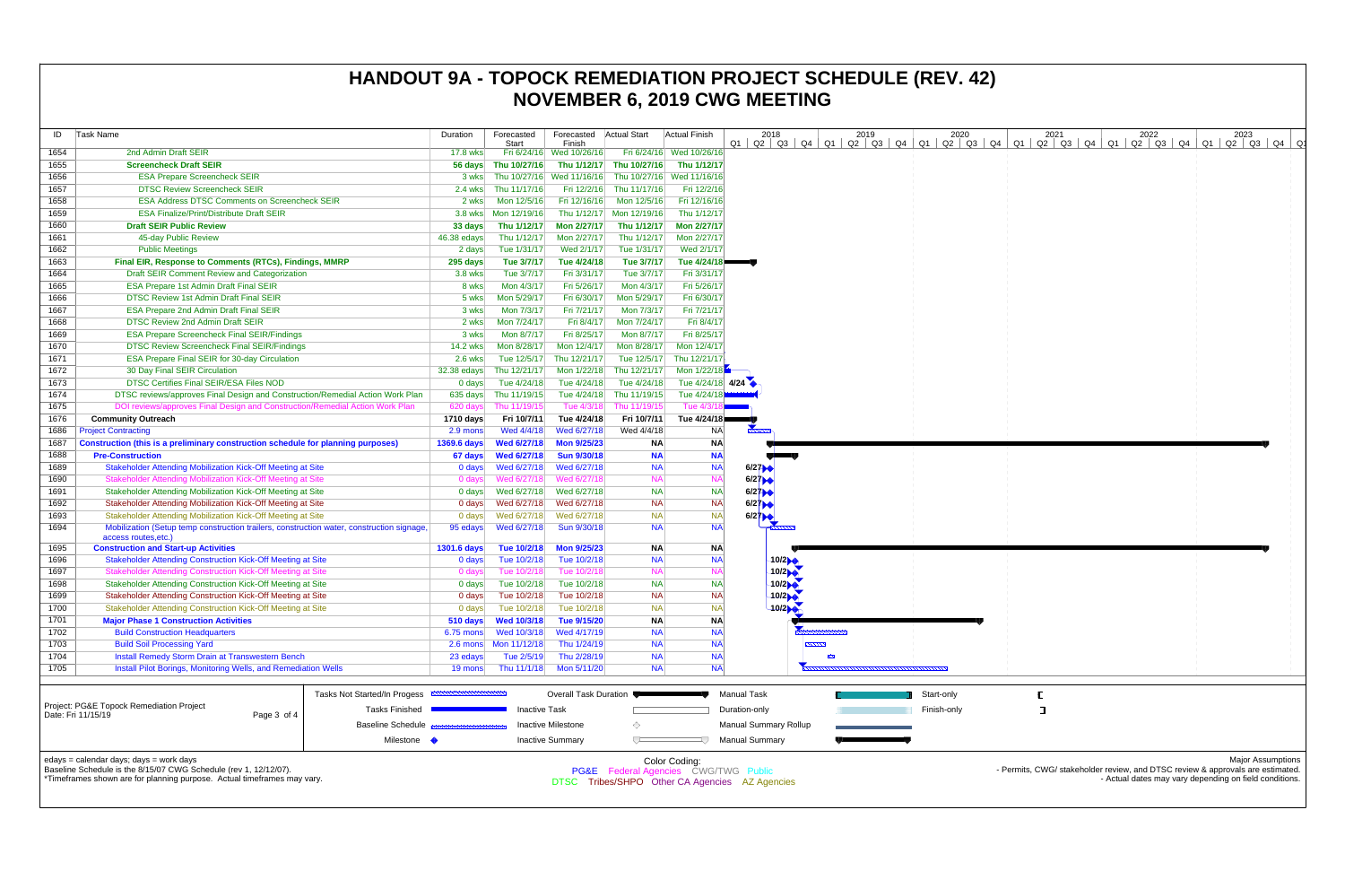| ID                                | Task Name                                                                                                                                                                              | Duration           | Forecasted<br><b>Start</b> | Forecasted<br>Finish     | <b>Actual Start</b>      | Actual Finish                                         | 2018                                                  | 2019       | 2020        | 2021<br>01 02 03 04 01 02 03 04 01 02 03 04 01 02 03 04 01 02 03 04 01 02 03 04 01 02 03 04 01 | 2022                                                   | 2023                     |
|-----------------------------------|----------------------------------------------------------------------------------------------------------------------------------------------------------------------------------------|--------------------|----------------------------|--------------------------|--------------------------|-------------------------------------------------------|-------------------------------------------------------|------------|-------------|------------------------------------------------------------------------------------------------|--------------------------------------------------------|--------------------------|
| 1654                              | 2nd Admin Draft SEIR                                                                                                                                                                   | 17.8 wks           |                            | Fri 6/24/16 Wed 10/26/16 |                          | Fri 6/24/16 Wed 10/26/16                              |                                                       |            |             |                                                                                                |                                                        |                          |
| 1655                              | <b>Screencheck Draft SEIR</b>                                                                                                                                                          | 56 days            | Thu 10/27/16               | Thu 1/12/17              | Thu 10/27/16             | Thu 1/12/17                                           |                                                       |            |             |                                                                                                |                                                        |                          |
| 1656                              | <b>ESA Prepare Screencheck SEIR</b>                                                                                                                                                    | 3 wks              | Thu 10/27/16               | Wed 11/16/16             |                          | Thu 10/27/16 Wed 11/16/16                             |                                                       |            |             |                                                                                                |                                                        |                          |
| 1657                              | <b>DTSC Review Screencheck SEIR</b>                                                                                                                                                    |                    | 2.4 wks Thu 11/17/16       |                          | Fri 12/2/16 Thu 11/17/16 | Fri 12/2/16                                           |                                                       |            |             |                                                                                                |                                                        |                          |
| 1658                              | <b>ESA Address DTSC Comments on Screencheck SEIR</b>                                                                                                                                   | 2 wks              | Mon 12/5/16                | Fri 12/16/16             | Mon 12/5/16              | Fri 12/16/16                                          |                                                       |            |             |                                                                                                |                                                        |                          |
| 1659                              | <b>ESA Finalize/Print/Distribute Draft SEIR</b>                                                                                                                                        | 3.8 wks            | Mon 12/19/16               |                          | Thu 1/12/17 Mon 12/19/16 | Thu 1/12/17                                           |                                                       |            |             |                                                                                                |                                                        |                          |
| 1660                              | <b>Draft SEIR Public Review</b>                                                                                                                                                        | 33 days            | Thu 1/12/17                | Mon 2/27/17              | Thu 1/12/17              | Mon 2/27/17                                           |                                                       |            |             |                                                                                                |                                                        |                          |
| 1661                              | 45-day Public Review                                                                                                                                                                   | 46.38 edays        | Thu 1/12/17                | Mon 2/27/17              | Thu 1/12/17              | Mon 2/27/17                                           |                                                       |            |             |                                                                                                |                                                        |                          |
| 1662                              | <b>Public Meetings</b>                                                                                                                                                                 | 2 days             | Tue 1/31/17                | Wed 2/1/17               | Tue 1/31/17              | Wed 2/1/17                                            |                                                       |            |             |                                                                                                |                                                        |                          |
| 1663                              | Final EIR, Response to Comments (RTCs), Findings, MMRP                                                                                                                                 | 295 days           | Tue 3/7/17                 | Tue 4/24/18              | Tue 3/7/17               | Tue 4/24/18                                           |                                                       |            |             |                                                                                                |                                                        |                          |
| 1664                              | Draft SEIR Comment Review and Categorization                                                                                                                                           | 3.8 wks            | Tue 3/7/17                 | Fri 3/31/17              | Tue 3/7/17               | Fri 3/31/17                                           |                                                       |            |             |                                                                                                |                                                        |                          |
| 1665                              | <b>ESA Prepare 1st Admin Draft Final SEIR</b>                                                                                                                                          | 8 wks              | Mon 4/3/17                 | Fri 5/26/17              | Mon 4/3/17               | Fri 5/26/17                                           |                                                       |            |             |                                                                                                |                                                        |                          |
| 1666                              | DTSC Review 1st Admin Draft Final SEIR                                                                                                                                                 | 5 wks              | Mon 5/29/17                | Fri 6/30/17              | Mon 5/29/17              | Fri 6/30/17                                           |                                                       |            |             |                                                                                                |                                                        |                          |
| 1667                              | <b>ESA Prepare 2nd Admin Draft Final SEIR</b>                                                                                                                                          | 3 wks              | Mon 7/3/17                 | Fri 7/21/17              | Mon 7/3/17               | Fri 7/21/17                                           |                                                       |            |             |                                                                                                |                                                        |                          |
| 1668                              | <b>DTSC Review 2nd Admin Draft SEIR</b>                                                                                                                                                | 2 wks              | Mon 7/24/17                | Fri 8/4/17               | Mon 7/24/17              | Fri 8/4/17                                            |                                                       |            |             |                                                                                                |                                                        |                          |
| 1669                              | <b>ESA Prepare Screencheck Final SEIR/Findings</b>                                                                                                                                     | 3 wks              | Mon 8/7/17                 | Fri 8/25/17              | Mon 8/7/17               | Fri 8/25/17                                           |                                                       |            |             |                                                                                                |                                                        |                          |
| 1670                              | <b>DTSC Review Screencheck Final SEIR/Findings</b>                                                                                                                                     | 14.2 wks           | Mon 8/28/17                | Mon 12/4/17              | Mon 8/28/17              | Mon 12/4/17                                           |                                                       |            |             |                                                                                                |                                                        |                          |
| 1671                              | <b>ESA Prepare Final SEIR for 30-day Circulation</b>                                                                                                                                   | 2.6 wks            | Tue 12/5/17                | Thu 12/21/17             | Tue 12/5/17              | Thu 12/21/17                                          |                                                       |            |             |                                                                                                |                                                        |                          |
| 1672                              | 30 Day Final SEIR Circulation                                                                                                                                                          | $32.38$ edays      | Thu 12/21/17               | Mon 1/22/18              | Thu 12/21/17             | Mon 1/22/18                                           |                                                       |            |             |                                                                                                |                                                        |                          |
| 1673                              | <b>DTSC Certifies Final SEIR/ESA Files NOD</b>                                                                                                                                         | 0 days             | Tue 4/24/18                | Tue 4/24/18              | Tue 4/24/18              | Tue 4/24/18 4/24                                      |                                                       |            |             |                                                                                                |                                                        |                          |
| 1674                              | DTSC reviews/approves Final Design and Construction/Remedial Action Work Plan                                                                                                          | 635 days           | Thu 11/19/15               | Tue 4/24/18              | Thu 11/19/15             | Tue 4/24/18                                           |                                                       |            |             |                                                                                                |                                                        |                          |
| 1675                              | DOI reviews/approves Final Design and Construction/Remedial Action Work Plan                                                                                                           | 620 days           | Thu 11/19/15               | Tue 4/3/18               | Thu 11/19/15             | Tue 4/3/1                                             |                                                       |            |             |                                                                                                |                                                        |                          |
| 1676                              | <b>Community Outreach</b>                                                                                                                                                              | 1710 days          | Fri 10/7/11                | Tue 4/24/18              | Fri 10/7/11              | Tue 4/24/18                                           |                                                       |            |             |                                                                                                |                                                        |                          |
| 1686                              | <b>Project Contracting</b>                                                                                                                                                             | 2.9 mons           | Wed 4/4/18                 | Wed 6/27/18              | Wed 4/4/18               | <b>NA</b>                                             |                                                       |            |             |                                                                                                |                                                        |                          |
| 1687                              | Construction (this is a preliminary construction schedule for planning purposes)                                                                                                       | 1369.6 days        | <b>Wed 6/27/18</b>         | <b>Mon 9/25/23</b>       | <b>NA</b>                | <b>NA</b>                                             |                                                       |            |             |                                                                                                |                                                        |                          |
| 1688                              | <b>Pre-Construction</b>                                                                                                                                                                | 67 days            | <b>Wed 6/27/18</b>         | <b>Sun 9/30/18</b>       | <b>NA</b>                | <b>NA</b>                                             |                                                       |            |             |                                                                                                |                                                        |                          |
| 1689                              | <b>Stakeholder Attending Mobilization Kick-Off Meeting at Site</b>                                                                                                                     | 0 days             | Wed 6/27/18                | Wed 6/27/18              | <b>NA</b>                | <b>NA</b>                                             | 6/27                                                  |            |             |                                                                                                |                                                        |                          |
| 1690                              | <b>Stakeholder Attending Mobilization Kick-Off Meeting at Site</b>                                                                                                                     | 0 days             | Wed 6/27/18                | Wed 6/27/18              | <b>NA</b>                | <b>NA</b>                                             | 6/27                                                  |            |             |                                                                                                |                                                        |                          |
| 1691                              | Stakeholder Attending Mobilization Kick-Off Meeting at Site                                                                                                                            | 0 days             | Wed 6/27/18                | Wed 6/27/18              | <b>NA</b>                | <b>NA</b>                                             | 6/27                                                  |            |             |                                                                                                |                                                        |                          |
| 1692                              | Stakeholder Attending Mobilization Kick-Off Meeting at Site                                                                                                                            | 0 days             | Wed 6/27/18                | Wed 6/27/18              | <b>NA</b>                | <b>NA</b>                                             | 6/27                                                  |            |             |                                                                                                |                                                        |                          |
| 1693                              | Stakeholder Attending Mobilization Kick-Off Meeting at Site                                                                                                                            | 0 days             | Wed 6/27/18                | Wed 6/27/18              | <b>NA</b>                | <b>NA</b>                                             | $6/2$ <sup><math>\uparrow</math></sup>                |            |             |                                                                                                |                                                        |                          |
| 1694                              | Mobilization (Setup temp construction trailers, construction water, construction signage<br>access routes, etc.)                                                                       | 95 edays           | Wed 6/27/18                | Sun 9/30/18              | <b>NA</b>                | <b>NA</b>                                             | $\frac{1}{2}$                                         |            |             |                                                                                                |                                                        |                          |
| 1695                              | <b>Construction and Start-up Activities</b>                                                                                                                                            | <b>1301.6 days</b> | Tue 10/2/18                | <b>Mon 9/25/23</b>       | <b>NA</b>                | <b>NA</b>                                             |                                                       |            |             |                                                                                                |                                                        |                          |
| 1696                              | <b>Stakeholder Attending Construction Kick-Off Meeting at Site</b>                                                                                                                     | 0 days             | Tue 10/2/18                | Tue 10/2/18              | <b>NA</b>                | <b>NA</b>                                             | 10/2                                                  |            |             |                                                                                                |                                                        |                          |
| 1697                              | <b>Stakeholder Attending Construction Kick-Off Meeting at Site</b>                                                                                                                     | 0 days             | Tue 10/2/18                | Tue 10/2/18              | <b>NA</b>                | <b>NA</b>                                             | 10/2                                                  |            |             |                                                                                                |                                                        |                          |
| 1698                              | Stakeholder Attending Construction Kick-Off Meeting at Site                                                                                                                            | 0 days             | Tue 10/2/18                | Tue 10/2/18              | <b>NA</b>                | <b>NA</b>                                             | 10/2                                                  |            |             |                                                                                                |                                                        |                          |
| 1699                              | Stakeholder Attending Construction Kick-Off Meeting at Site                                                                                                                            | 0 days             | Tue 10/2/18                | Tue 10/2/18              | <b>NA</b>                | <b>NA</b>                                             | 10/2                                                  |            |             |                                                                                                |                                                        |                          |
| 1700                              | Stakeholder Attending Construction Kick-Off Meeting at Site                                                                                                                            | $0$ days           | Tue 10/2/18                | Tue 10/2/18              | <b>NA</b>                | <b>NA</b>                                             | 10/2                                                  |            |             |                                                                                                |                                                        |                          |
| 1701                              | <b>Major Phase 1 Construction Activities</b>                                                                                                                                           | 510 days           | <b>Wed 10/3/18</b>         | Tue 9/15/20              | NA                       | <b>NA</b>                                             |                                                       |            |             |                                                                                                |                                                        |                          |
| 1702                              | <b>Build Construction Headquarters</b>                                                                                                                                                 | $6.75$ mons        | Wed 10/3/18                | Wed 4/17/19              | <b>NA</b>                | <b>NA</b>                                             |                                                       |            |             |                                                                                                |                                                        |                          |
| 1703                              | <b>Build Soil Processing Yard</b>                                                                                                                                                      |                    |                            | Thu 1/24/19              | <b>NA</b>                | <b>NA</b>                                             |                                                       |            |             |                                                                                                |                                                        |                          |
| 1704                              | <b>Install Remedy Storm Drain at Transwestern Bench</b>                                                                                                                                | 23 edays           | Tue 2/5/19                 | Thu 2/28/19              | <b>NA</b>                | <b>NA</b>                                             |                                                       | <b>SSS</b> |             |                                                                                                |                                                        |                          |
| 1705                              | Install Pilot Borings, Monitoring Wells, and Remediation Wells                                                                                                                         | 19 mons            | Thu 11/1/18                | Mon 5/11/20              | <b>NA</b>                | <b>NA</b>                                             |                                                       |            |             |                                                                                                |                                                        |                          |
|                                   | Tasks Not Started/In Progess<br>Project: PG&E Topock Remediation Project<br><b>Tasks Finished</b>                                                                                      |                    |                            | Overall Task Duration    |                          |                                                       | <b>Manual Task</b>                                    |            | Start-only  |                                                                                                |                                                        |                          |
|                                   |                                                                                                                                                                                        |                    | <b>Inactive Task</b>       |                          |                          |                                                       | Duration-only                                         |            | Finish-only | ा                                                                                              |                                                        |                          |
| Date: Fri 11/15/19<br>Page 3 of 4 |                                                                                                                                                                                        | Inactive Milestone |                            |                          |                          |                                                       |                                                       |            |             |                                                                                                |                                                        |                          |
|                                   | <b>Baseline Schedule</b><br>Milestone •                                                                                                                                                |                    |                            | <b>Inactive Summary</b>  | ◇                        |                                                       | <b>Manual Summary Rollup</b><br><b>Manual Summary</b> |            |             |                                                                                                |                                                        |                          |
|                                   |                                                                                                                                                                                        |                    |                            |                          |                          |                                                       |                                                       |            |             |                                                                                                |                                                        | <b>Major Assumptions</b> |
|                                   | edays = calendar days; days = work days<br>Baseline Schedule is the 8/15/07 CWG Schedule (rev 1, 12/12/07).<br>*Timeframes shown are for planning purpose. Actual timeframes may vary. |                    |                            |                          |                          | Color Coding:<br>PG&E Federal Agencies CWG/TWG Public | DTSC Tribes/SHPO Other CA Agencies AZ Agencies        |            |             | - Permits, CWG/ stakeholder review, and DTSC review & approvals are estimated.                 | - Actual dates may vary depending on field conditions. |                          |

## **HANDOUT 9A - TOPOCK REMEDIATION PROJECT SCHEDULE (REV. 42) NOVEMBER 6, 2019 CWG MEETING**